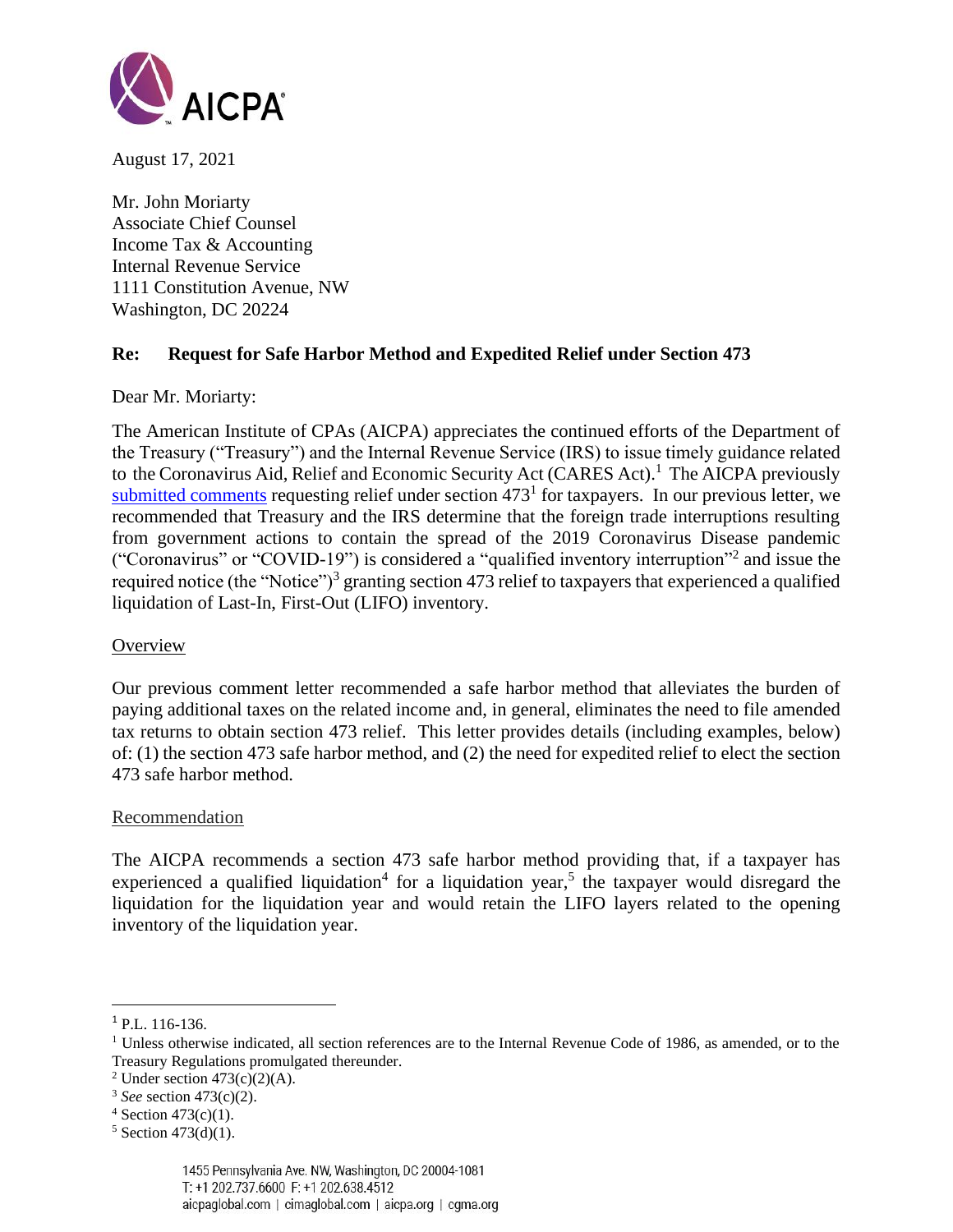

August 17, 2021

Mr. John Moriarty Associate Chief Counsel Income Tax & Accounting Internal Revenue Service 1111 Constitution Avenue, NW Washington, DC 20224

## **Re: Request for Safe Harbor Method and Expedited Relief under Section 473**

Dear Mr. Moriarty:

The American Institute of CPAs (AICPA) appreciates the continued efforts of the Department of the Treasury ("Treasury") and the Internal Revenue Service (IRS) to issue timely guidance related to the Coronavirus Aid, Relief and Economic Security Act (CARES Act). <sup>1</sup> The AICPA previously [submitted comments](https://www.aicpa.org/content/dam/aicpa/advocacy/tax/downloadabledocuments/aicpa-comment-letter-requesting-section-473-relief.pdf) requesting relief under section  $473<sup>1</sup>$  for taxpayers. In our previous letter, we recommended that Treasury and the IRS determine that the foreign trade interruptions resulting from government actions to contain the spread of the 2019 Coronavirus Disease pandemic ("Coronavirus" or "COVID-19") is considered a "qualified inventory interruption"<sup>2</sup> and issue the required notice (the "Notice")<sup>3</sup> granting section 473 relief to taxpayers that experienced a qualified liquidation of Last-In, First-Out (LIFO) inventory.

### **Overview**

Our previous comment letter recommended a safe harbor method that alleviates the burden of paying additional taxes on the related income and, in general, eliminates the need to file amended tax returns to obtain section 473 relief. This letter provides details (including examples, below) of: (1) the section 473 safe harbor method, and (2) the need for expedited relief to elect the section 473 safe harbor method.

#### **Recommendation**

The AICPA recommends a section 473 safe harbor method providing that, if a taxpayer has experienced a qualified liquidation<sup>4</sup> for a liquidation year,<sup>5</sup> the taxpayer would disregard the liquidation for the liquidation year and would retain the LIFO layers related to the opening inventory of the liquidation year.

<sup>1</sup> P.L. 116-136.

<sup>&</sup>lt;sup>1</sup> Unless otherwise indicated, all section references are to the Internal Revenue Code of 1986, as amended, or to the Treasury Regulations promulgated thereunder.

<sup>&</sup>lt;sup>2</sup> Under section  $473(c)(2)(A)$ .

<sup>3</sup> *See* section 473(c)(2).

 $4$  Section 473(c)(1).

 $5$  Section 473(d)(1).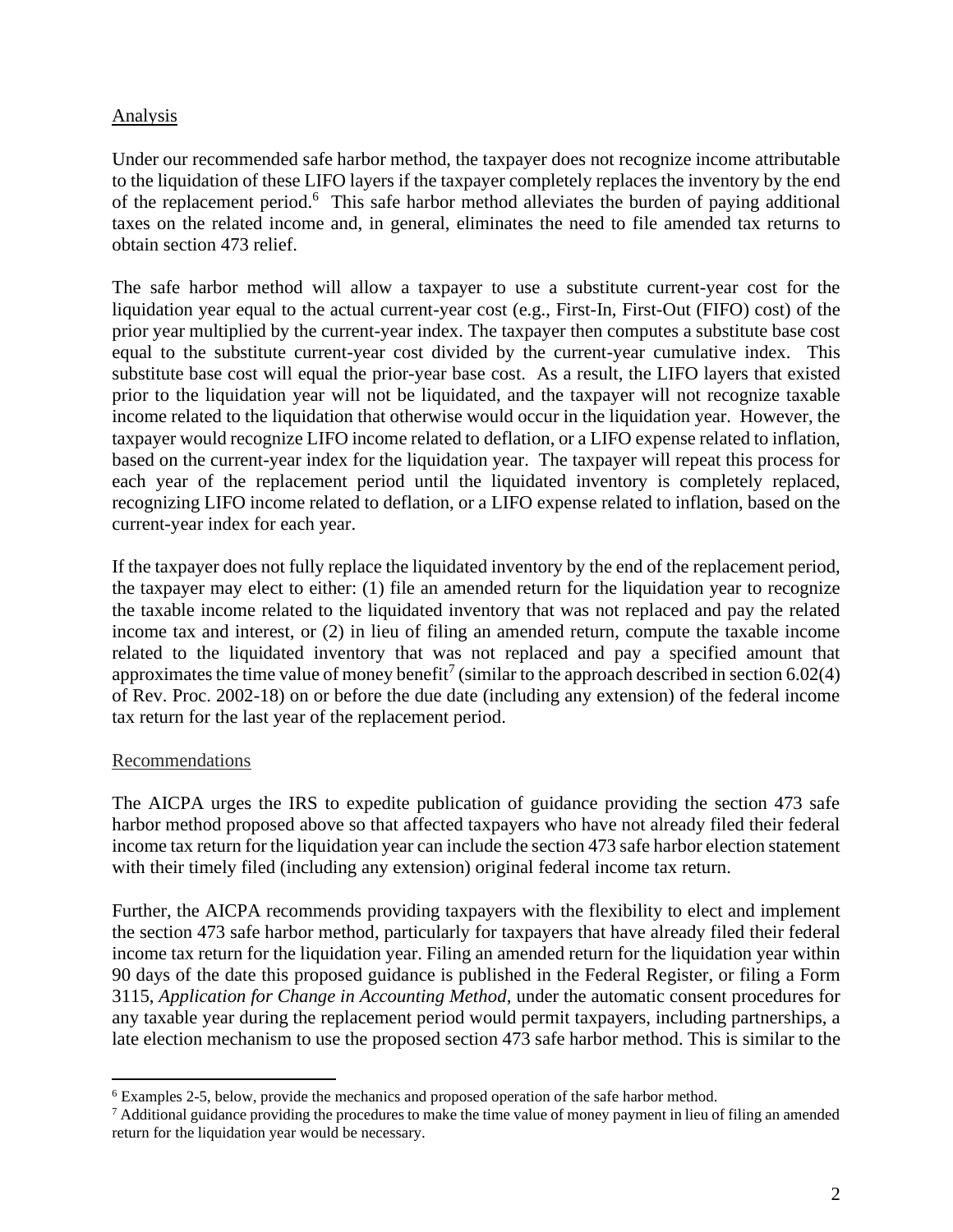## Analysis

Under our recommended safe harbor method, the taxpayer does not recognize income attributable to the liquidation of these LIFO layers if the taxpayer completely replaces the inventory by the end of the replacement period.<sup>6</sup> This safe harbor method alleviates the burden of paying additional taxes on the related income and, in general, eliminates the need to file amended tax returns to obtain section 473 relief.

The safe harbor method will allow a taxpayer to use a substitute current-year cost for the liquidation year equal to the actual current-year cost (e.g., First-In, First-Out (FIFO) cost) of the prior year multiplied by the current-year index. The taxpayer then computes a substitute base cost equal to the substitute current-year cost divided by the current-year cumulative index. This substitute base cost will equal the prior-year base cost. As a result, the LIFO layers that existed prior to the liquidation year will not be liquidated, and the taxpayer will not recognize taxable income related to the liquidation that otherwise would occur in the liquidation year. However, the taxpayer would recognize LIFO income related to deflation, or a LIFO expense related to inflation, based on the current-year index for the liquidation year. The taxpayer will repeat this process for each year of the replacement period until the liquidated inventory is completely replaced, recognizing LIFO income related to deflation, or a LIFO expense related to inflation, based on the current-year index for each year.

If the taxpayer does not fully replace the liquidated inventory by the end of the replacement period, the taxpayer may elect to either: (1) file an amended return for the liquidation year to recognize the taxable income related to the liquidated inventory that was not replaced and pay the related income tax and interest, or (2) in lieu of filing an amended return, compute the taxable income related to the liquidated inventory that was not replaced and pay a specified amount that approximates the time value of money benefit<sup>7</sup> (similar to the approach described in section 6.02(4) of Rev. Proc. 2002-18) on or before the due date (including any extension) of the federal income tax return for the last year of the replacement period.

### Recommendations

The AICPA urges the IRS to expedite publication of guidance providing the section 473 safe harbor method proposed above so that affected taxpayers who have not already filed their federal income tax return for the liquidation year can include the section 473 safe harbor election statement with their timely filed (including any extension) original federal income tax return.

Further, the AICPA recommends providing taxpayers with the flexibility to elect and implement the section 473 safe harbor method, particularly for taxpayers that have already filed their federal income tax return for the liquidation year. Filing an amended return for the liquidation year within 90 days of the date this proposed guidance is published in the Federal Register, or filing a Form 3115, *Application for Change in Accounting Method*, under the automatic consent procedures for any taxable year during the replacement period would permit taxpayers, including partnerships, a late election mechanism to use the proposed section 473 safe harbor method. This is similar to the

<sup>6</sup> Examples 2-5, below, provide the mechanics and proposed operation of the safe harbor method.

<sup>&</sup>lt;sup>7</sup> Additional guidance providing the procedures to make the time value of money payment in lieu of filing an amended return for the liquidation year would be necessary.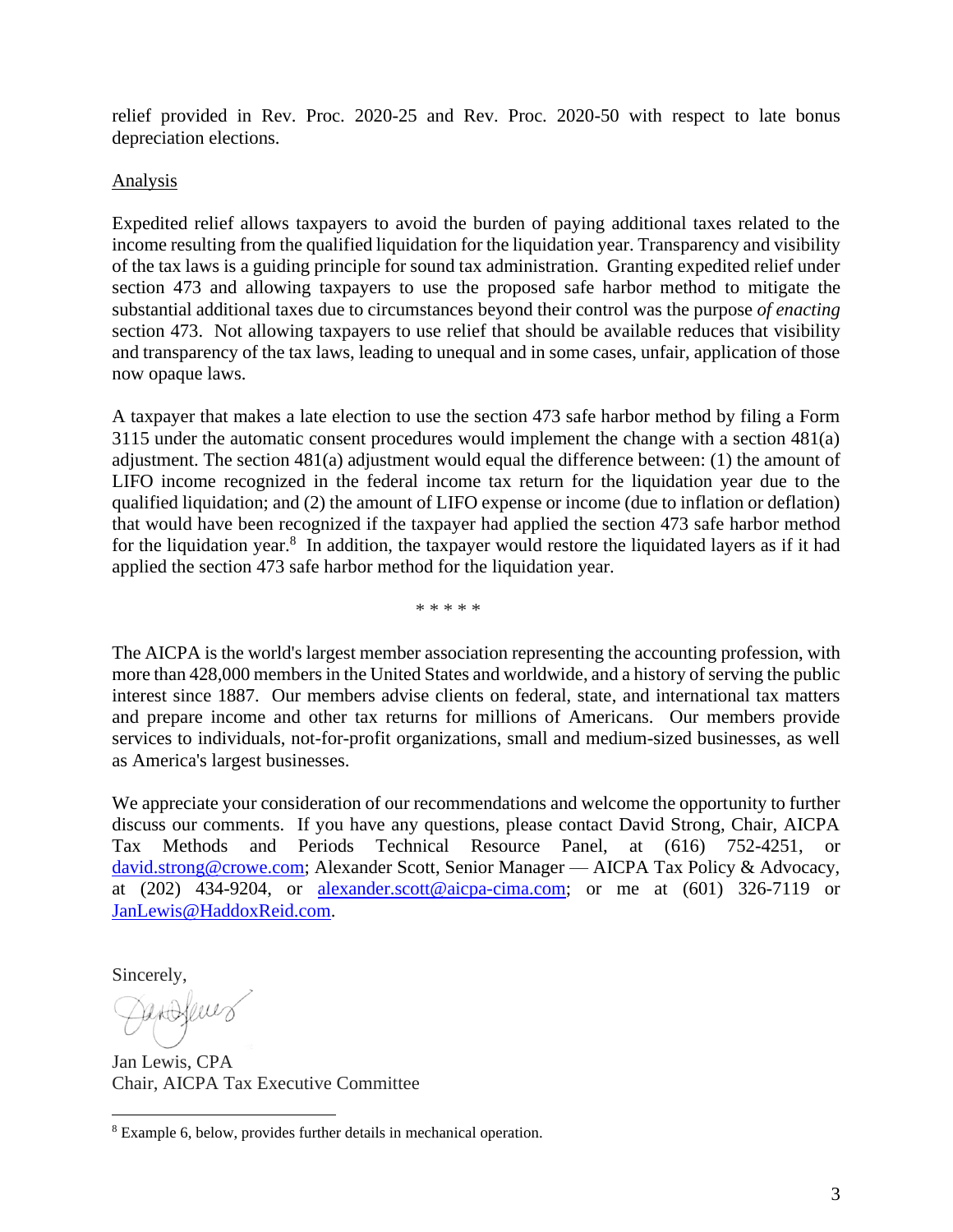relief provided in Rev. Proc. 2020-25 and Rev. Proc. 2020-50 with respect to late bonus depreciation elections.

### Analysis

Expedited relief allows taxpayers to avoid the burden of paying additional taxes related to the income resulting from the qualified liquidation for the liquidation year. Transparency and visibility of the tax laws is a guiding principle for sound tax administration. Granting expedited relief under section 473 and allowing taxpayers to use the proposed safe harbor method to mitigate the substantial additional taxes due to circumstances beyond their control was the purpose *of enacting* section 473. Not allowing taxpayers to use relief that should be available reduces that visibility and transparency of the tax laws, leading to unequal and in some cases, unfair, application of those now opaque laws.

A taxpayer that makes a late election to use the section 473 safe harbor method by filing a Form 3115 under the automatic consent procedures would implement the change with a section 481(a) adjustment. The section 481(a) adjustment would equal the difference between: (1) the amount of LIFO income recognized in the federal income tax return for the liquidation year due to the qualified liquidation; and (2) the amount of LIFO expense or income (due to inflation or deflation) that would have been recognized if the taxpayer had applied the section 473 safe harbor method for the liquidation year.<sup>8</sup> In addition, the taxpayer would restore the liquidated layers as if it had applied the section 473 safe harbor method for the liquidation year.

\* \* \* \* \*

The AICPA is the world's largest member association representing the accounting profession, with more than 428,000 members in the United States and worldwide, and a history of serving the public interest since 1887. Our members advise clients on federal, state, and international tax matters and prepare income and other tax returns for millions of Americans. Our members provide services to individuals, not-for-profit organizations, small and medium-sized businesses, as well as America's largest businesses.

We appreciate your consideration of our recommendations and welcome the opportunity to further discuss our comments. If you have any questions, please contact David Strong, Chair, AICPA Tax Methods and Periods Technical Resource Panel, at (616) 752-4251, or [david.strong@crowe.com;](mailto:david.strong@crowe.com) Alexander Scott, Senior Manager — AICPA Tax Policy & Advocacy, at  $(202)$  434-9204, or [alexander.scott@aicpa-cima.com;](mailto:alexander.scott@aicpa-cima.com) or me at  $(601)$  326-7119 or [JanLewis@HaddoxReid.com.](mailto:JanLewis@HaddoxReid.com)

Sincerely,

Peroferes

Jan Lewis, CPA Chair, AICPA Tax Executive Committee

<sup>8</sup> Example 6, below, provides further details in mechanical operation.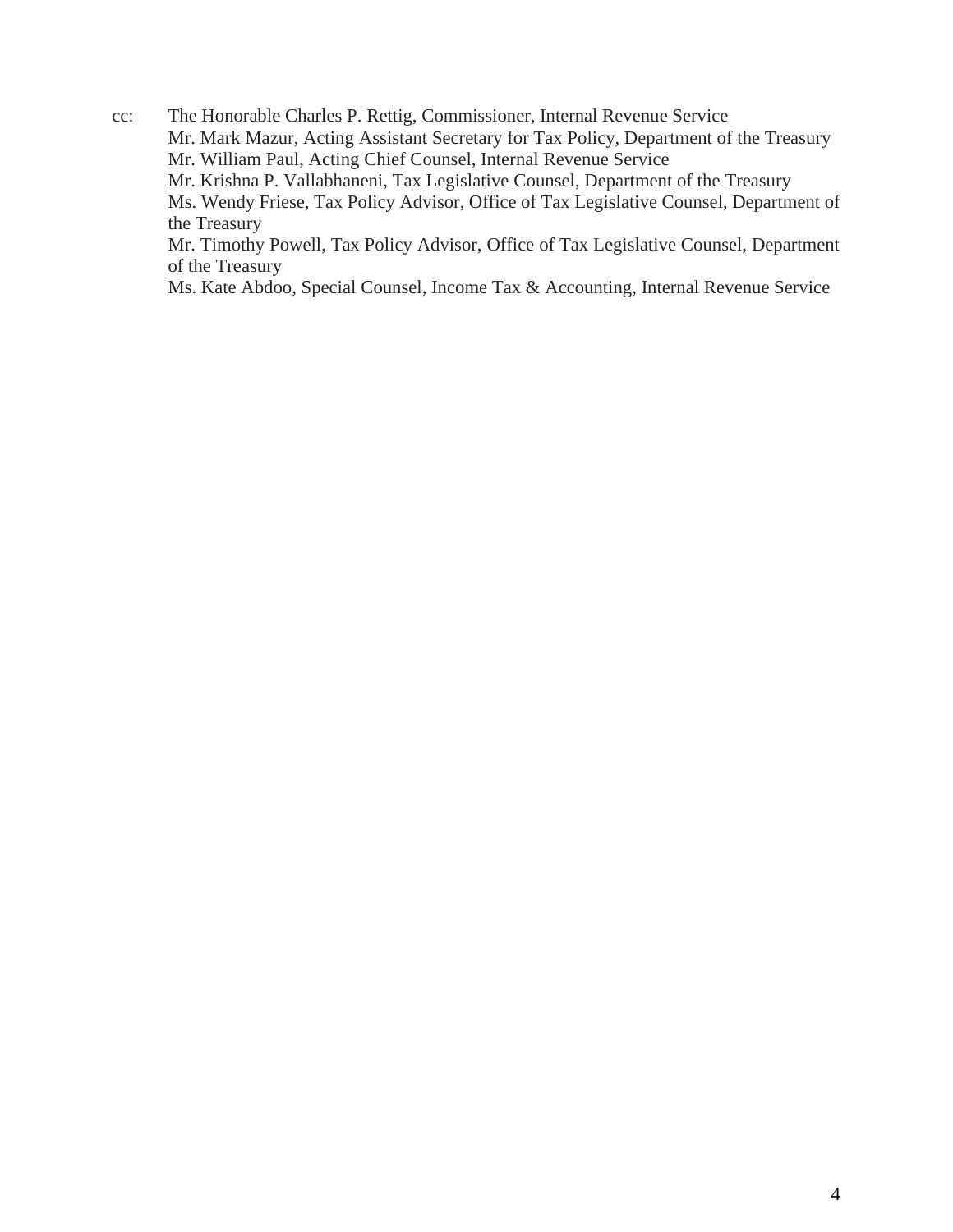cc: The Honorable Charles P. Rettig, Commissioner, Internal Revenue Service Mr. Mark Mazur, Acting Assistant Secretary for Tax Policy, Department of the Treasury Mr. William Paul, Acting Chief Counsel, Internal Revenue Service Mr. Krishna P. Vallabhaneni, Tax Legislative Counsel, Department of the Treasury Ms. Wendy Friese, Tax Policy Advisor, Office of Tax Legislative Counsel, Department of the Treasury Mr. Timothy Powell, Tax Policy Advisor, Office of Tax Legislative Counsel, Department of the Treasury

Ms. Kate Abdoo, Special Counsel, Income Tax & Accounting, Internal Revenue Service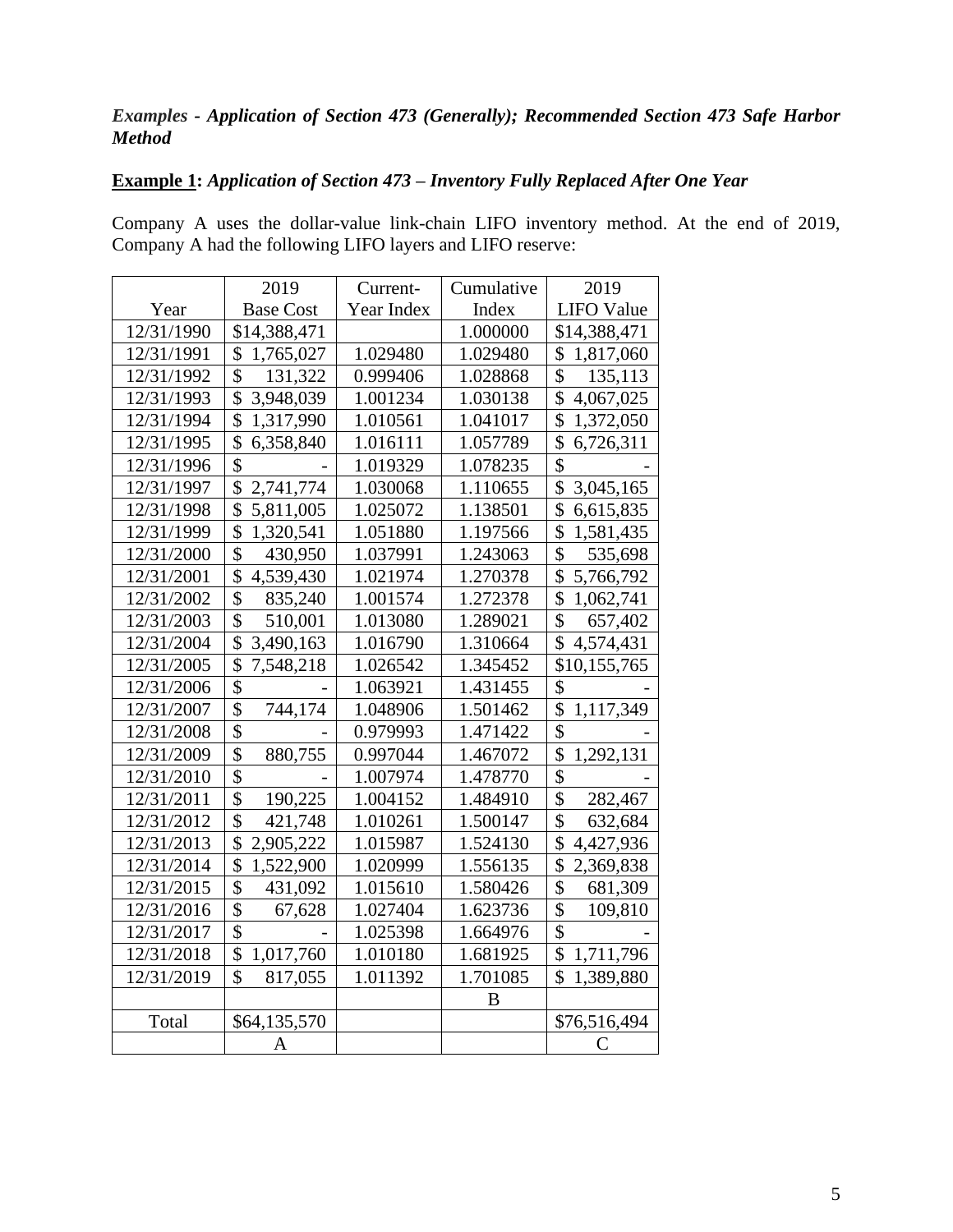# *Examples - Application of Section 473 (Generally); Recommended Section 473 Safe Harbor Method*

## **Example 1:** *Application of Section 473 – Inventory Fully Replaced After One Year*

Company A uses the dollar-value link-chain LIFO inventory method. At the end of 2019, Company A had the following LIFO layers and LIFO reserve:

|            | 2019                       | Current-   | Cumulative | 2019                       |
|------------|----------------------------|------------|------------|----------------------------|
| Year       | <b>Base Cost</b>           | Year Index | Index      | <b>LIFO Value</b>          |
| 12/31/1990 | \$14,388,471               |            | 1.000000   | \$14,388,471               |
| 12/31/1991 | \$<br>1,765,027            | 1.029480   | 1.029480   | \$<br>1,817,060            |
| 12/31/1992 | \$<br>131,322              | 0.999406   | 1.028868   | \$<br>135,113              |
| 12/31/1993 | \$<br>3,948,039            | 1.001234   | 1.030138   | \$<br>4,067,025            |
| 12/31/1994 | \$<br>1,317,990            | 1.010561   | 1.041017   | \$<br>1,372,050            |
| 12/31/1995 | \$<br>6,358,840            | 1.016111   | 1.057789   | \$<br>6,726,311            |
| 12/31/1996 | \$                         | 1.019329   | 1.078235   | \$                         |
| 12/31/1997 | \$<br>2,741,774            | 1.030068   | 1.110655   | \$<br>3,045,165            |
| 12/31/1998 | \$<br>5,811,005            | 1.025072   | 1.138501   | \$<br>6,615,835            |
| 12/31/1999 | \$<br>1,320,541            | 1.051880   | 1.197566   | \$<br>1,581,435            |
| 12/31/2000 | \$<br>430,950              | 1.037991   | 1.243063   | \$<br>535,698              |
| 12/31/2001 | \$<br>4,539,430            | 1.021974   | 1.270378   | \$<br>5,766,792            |
| 12/31/2002 | \$<br>835,240              | 1.001574   | 1.272378   | \$<br>1,062,741            |
| 12/31/2003 | $\overline{\$}$<br>510,001 | 1.013080   | 1.289021   | \$<br>657,402              |
| 12/31/2004 | \$<br>3,490,163            | 1.016790   | 1.310664   | \$<br>4,574,431            |
| 12/31/2005 | \$<br>7,548,218            | 1.026542   | 1.345452   | \$10,155,765               |
| 12/31/2006 | \$                         | 1.063921   | 1.431455   | \$                         |
| 12/31/2007 | \$<br>744,174              | 1.048906   | 1.501462   | \$<br>1,117,349            |
| 12/31/2008 | \$                         | 0.979993   | 1.471422   | \$                         |
| 12/31/2009 | \$<br>880,755              | 0.997044   | 1.467072   | \$<br>1,292,131            |
| 12/31/2010 | $\overline{\$}$            | 1.007974   | 1.478770   | $\overline{\$}$            |
| 12/31/2011 | \$<br>190,225              | 1.004152   | 1.484910   | $\overline{\$}$<br>282,467 |
| 12/31/2012 | \$<br>421,748              | 1.010261   | 1.500147   | \$<br>632,684              |
| 12/31/2013 | \$<br>2,905,222            | 1.015987   | 1.524130   | \$<br>4,427,936            |
| 12/31/2014 | \$<br>1,522,900            | 1.020999   | 1.556135   | \$<br>2,369,838            |
| 12/31/2015 | \$<br>431,092              | 1.015610   | 1.580426   | \$<br>681,309              |
| 12/31/2016 | \$<br>67,628               | 1.027404   | 1.623736   | \$<br>109,810              |
| 12/31/2017 | \$                         | 1.025398   | 1.664976   | \$                         |
| 12/31/2018 | \$<br>1,017,760            | 1.010180   | 1.681925   | \$<br>1,711,796            |
| 12/31/2019 | \$<br>817,055              | 1.011392   | 1.701085   | \$<br>1,389,880            |
|            |                            |            | B          |                            |
| Total      | \$64,135,570               |            |            | \$76,516,494               |
|            | A                          |            |            | C                          |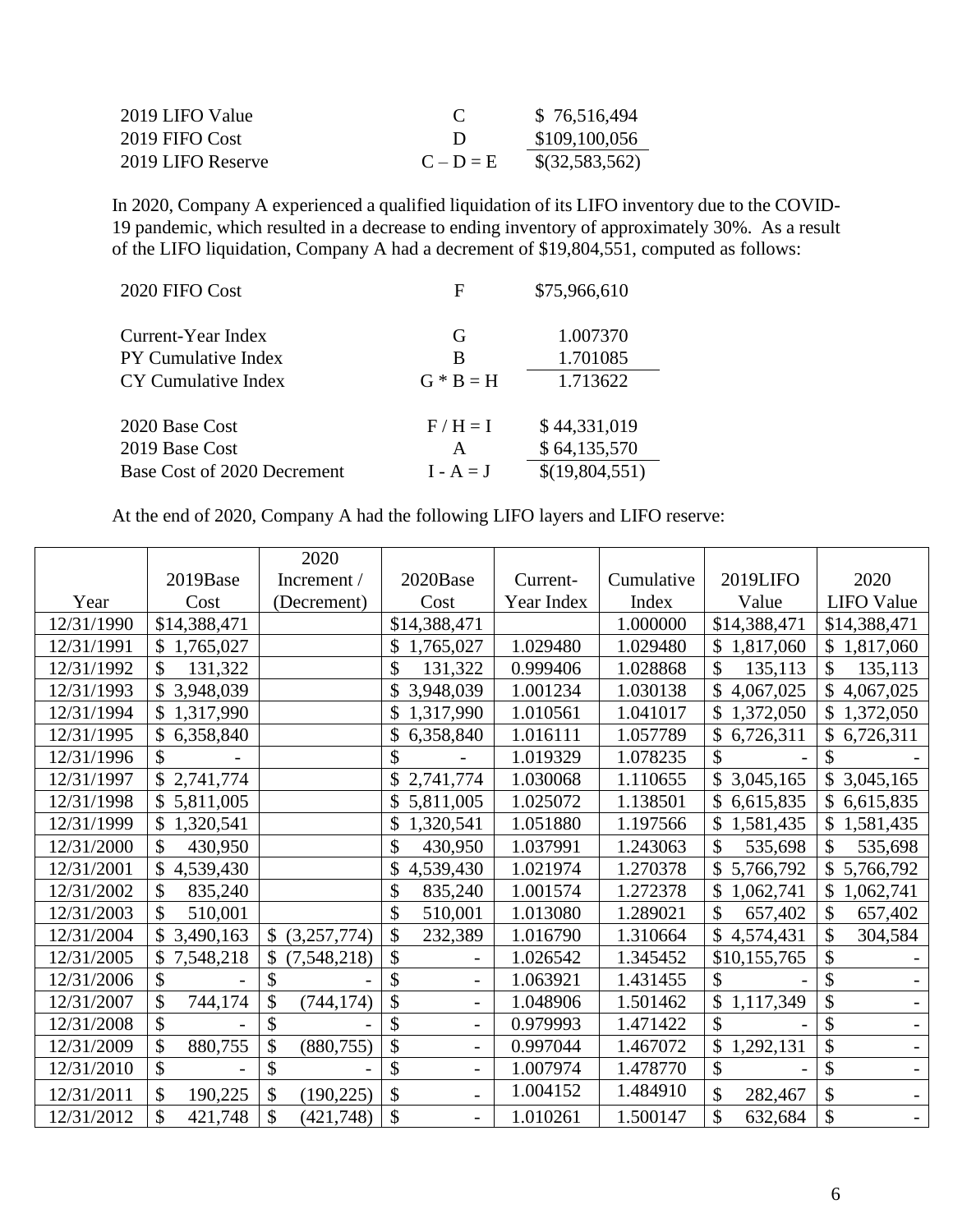| 2019 LIFO Value   | $\mathcal{L}$ | \$76,516,494   |
|-------------------|---------------|----------------|
| 2019 FIFO Cost    | Ð             | \$109,100,056  |
| 2019 LIFO Reserve | $C - D = E$   | \$(32,583,562) |

In 2020, Company A experienced a qualified liquidation of its LIFO inventory due to the COVID-19 pandemic, which resulted in a decrease to ending inventory of approximately 30%. As a result of the LIFO liquidation, Company A had a decrement of \$19,804,551, computed as follows:

| 2020 FIFO Cost              | F           | \$75,966,610   |
|-----------------------------|-------------|----------------|
| Current-Year Index          | G           | 1.007370       |
| PY Cumulative Index         | B           | 1.701085       |
| CY Cumulative Index         | $G * B = H$ | 1.713622       |
| 2020 Base Cost              | $F/H = I$   | \$44,331,019   |
| 2019 Base Cost              | A           | \$64,135,570   |
| Base Cost of 2020 Decrement | $I - A = J$ | \$(19,804,551) |

At the end of 2020, Company A had the following LIFO layers and LIFO reserve:

|            |                                        | 2020              |                                |            |            |                           |                           |
|------------|----------------------------------------|-------------------|--------------------------------|------------|------------|---------------------------|---------------------------|
|            | 2019Base                               | Increment /       | 2020Base                       | Current-   | Cumulative | 2019LIFO                  | 2020                      |
| Year       | Cost                                   | (Decrement)       | Cost                           | Year Index | Index      | Value                     | <b>LIFO</b> Value         |
| 12/31/1990 | \$14,388,471                           |                   | \$14,388,471                   |            | 1.000000   | \$14,388,471              | \$14,388,471              |
| 12/31/1991 | \$<br>1,765,027                        |                   | \$<br>1,765,027                | 1.029480   | 1.029480   | \$<br>1,817,060           | \$1,817,060               |
| 12/31/1992 | $\mathcal{S}$<br>131,322               |                   | \$<br>131,322                  | 0.999406   | 1.028868   | \$<br>135,113             | \$<br>135,113             |
| 12/31/1993 | \$<br>3,948,039                        |                   | 3,948,039                      | 1.001234   | 1.030138   | \$<br>4,067,025           | \$<br>4,067,025           |
| 12/31/1994 | \$1,317,990                            |                   | \$<br>1,317,990                | 1.010561   | 1.041017   | \$<br>1,372,050           | $\mathbb{S}$<br>1,372,050 |
| 12/31/1995 | 6,358,840                              |                   | 6,358,840<br>\$                | 1.016111   | 1.057789   | \$<br>6,726,311           | \$<br>6,726,311           |
| 12/31/1996 |                                        |                   | \$                             | 1.019329   | 1.078235   |                           |                           |
| 12/31/1997 | 2,741,774                              |                   | 2,741,774<br>\$                | 1.030068   | 1.110655   | 3,045,165                 | 3,045,165<br>\$           |
| 12/31/1998 | $\boldsymbol{\mathsf{S}}$<br>5,811,005 |                   | \$<br>5,811,005                | 1.025072   | 1.138501   | \$<br>6,615,835           | \$<br>6,615,835           |
| 12/31/1999 | \$<br>1,320,541                        |                   | 1,320,541<br>\$                | 1.051880   | 1.197566   | \$<br>1,581,435           | \$<br>1,581,435           |
| 12/31/2000 | $\mathcal{S}$<br>430,950               |                   | \$<br>430,950                  | 1.037991   | 1.243063   | \$<br>535,698             | \$<br>535,698             |
| 12/31/2001 | \$<br>4,539,430                        |                   | \$<br>4,539,430                | 1.021974   | 1.270378   | \$<br>5,766,792           | 5,766,792                 |
| 12/31/2002 | \$<br>835,240                          |                   | \$<br>835,240                  | 1.001574   | 1.272378   | \$<br>1,062,741           | \$<br>1,062,741           |
| 12/31/2003 | \$<br>510,001                          |                   | \$<br>510,001                  | 1.013080   | 1.289021   | \$<br>657,402             | \$<br>657,402             |
| 12/31/2004 | $\mathcal{S}$<br>3,490,163             | (3,257,774)<br>\$ | \$<br>232,389                  | 1.016790   | 1.310664   | $\mathbb{S}$<br>4,574,431 | \$<br>304,584             |
| 12/31/2005 | \$<br>7,548,218                        | \$<br>(7,548,218) | \$                             | 1.026542   | 1.345452   | \$10,155,765              | \$                        |
| 12/31/2006 | \$                                     | \$                | \$                             | 1.063921   | 1.431455   | \$                        | \$                        |
| 12/31/2007 | \$<br>744,174                          | \$<br>(744, 174)  | \$<br>$\overline{\phantom{0}}$ | 1.048906   | 1.501462   | \$<br>1,117,349           | \$                        |
| 12/31/2008 | \$                                     | \$                | \$<br>$\qquad \qquad -$        | 0.979993   | 1.471422   | \$                        | \$                        |
| 12/31/2009 | \$<br>880,755                          | \$<br>(880, 755)  | \$                             | 0.997044   | 1.467072   | \$<br>1,292,131           | \$                        |
| 12/31/2010 | \$                                     | \$                | \$                             | 1.007974   | 1.478770   | \$                        | \$                        |
| 12/31/2011 | \$<br>190,225                          | \$<br>(190, 225)  | \$                             | 1.004152   | 1.484910   | \$<br>282,467             | \$                        |
| 12/31/2012 | \$<br>421,748                          | \$<br>(421, 748)  | \$                             | 1.010261   | 1.500147   | \$<br>632,684             | \$                        |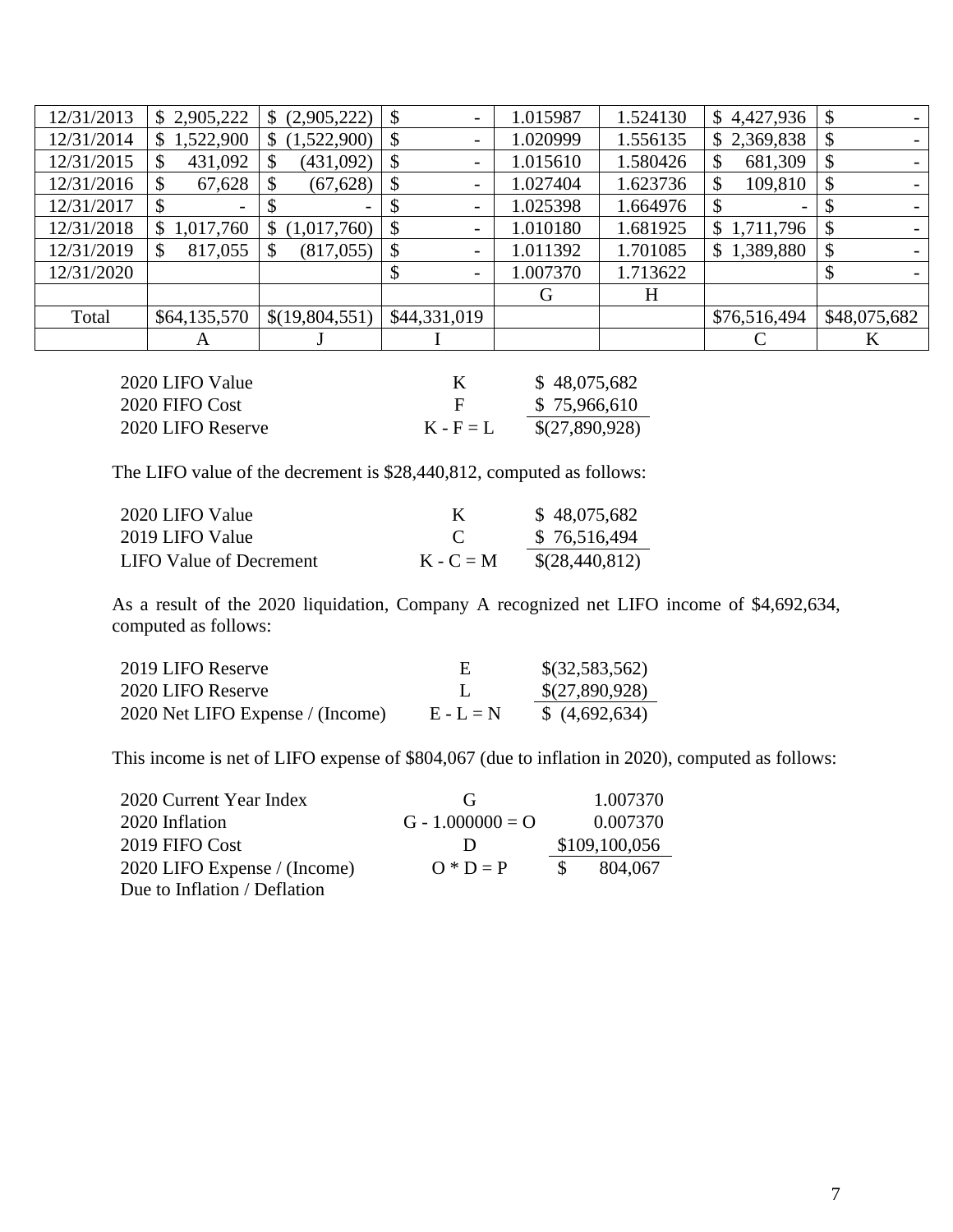| 12/31/2013<br>4,427,936<br>\$2,905,222<br>(2,905,222)<br>$\boldsymbol{\mathsf{\$}}$<br>1.524130<br>1.015987<br>$\mathcal{S}$<br>\$<br>$\mathbb{S}$<br>$\overline{\phantom{a}}$<br>12/31/2014<br>1,522,900<br>(1,522,900)<br>1.020999<br>1.556135<br>2,369,838<br>$\boldsymbol{\mathsf{\$}}$<br>$\mathcal{S}$<br>\$<br>\$<br>$\overline{\phantom{a}}$<br>12/31/2015<br>431,092<br>(431,092)<br>1.580426<br>681,309<br>$\boldsymbol{\mathsf{\$}}$<br>1.015610<br>$\mathbb{S}$<br>\$<br>\$<br>\$<br>$\overline{\phantom{a}}$<br>12/31/2016<br>(67, 628)<br>1.623736<br>109,810<br>67,628<br>1.027404<br>$\boldsymbol{\mathsf{S}}$<br>\$<br>\$<br>\$<br>\$<br>$\overline{\phantom{a}}$<br>12/31/2017<br>1.025398<br>1.664976<br>\$<br>$\overline{\phantom{a}}$<br>12/31/2018<br>1.010180<br>1.681925<br>1,017,760<br>(1,017,760)<br>$\boldsymbol{\mathsf{\$}}$<br>1,711,796<br>\$<br>$\mathbb{S}$<br>$\mathcal{S}$<br>S.<br>$\overline{\phantom{a}}$<br>12/31/2019<br>1,389,880<br>(817, 055)<br>1.011392<br>1.701085<br>817,055<br>$\boldsymbol{\mathsf{S}}$<br>$\mathbb{S}$<br>\$<br>\$<br>\$<br>$\overline{\phantom{a}}$<br>12/31/2020<br>1.007370<br>1.713622<br>\$<br>$\overline{\phantom{a}}$<br>H<br>G |       |              |                |              |  |              |              |
|-----------------------------------------------------------------------------------------------------------------------------------------------------------------------------------------------------------------------------------------------------------------------------------------------------------------------------------------------------------------------------------------------------------------------------------------------------------------------------------------------------------------------------------------------------------------------------------------------------------------------------------------------------------------------------------------------------------------------------------------------------------------------------------------------------------------------------------------------------------------------------------------------------------------------------------------------------------------------------------------------------------------------------------------------------------------------------------------------------------------------------------------------------------------------------------------------------------|-------|--------------|----------------|--------------|--|--------------|--------------|
|                                                                                                                                                                                                                                                                                                                                                                                                                                                                                                                                                                                                                                                                                                                                                                                                                                                                                                                                                                                                                                                                                                                                                                                                           |       |              |                |              |  |              |              |
|                                                                                                                                                                                                                                                                                                                                                                                                                                                                                                                                                                                                                                                                                                                                                                                                                                                                                                                                                                                                                                                                                                                                                                                                           |       |              |                |              |  |              |              |
|                                                                                                                                                                                                                                                                                                                                                                                                                                                                                                                                                                                                                                                                                                                                                                                                                                                                                                                                                                                                                                                                                                                                                                                                           |       |              |                |              |  |              |              |
|                                                                                                                                                                                                                                                                                                                                                                                                                                                                                                                                                                                                                                                                                                                                                                                                                                                                                                                                                                                                                                                                                                                                                                                                           |       |              |                |              |  |              |              |
|                                                                                                                                                                                                                                                                                                                                                                                                                                                                                                                                                                                                                                                                                                                                                                                                                                                                                                                                                                                                                                                                                                                                                                                                           |       |              |                |              |  |              |              |
|                                                                                                                                                                                                                                                                                                                                                                                                                                                                                                                                                                                                                                                                                                                                                                                                                                                                                                                                                                                                                                                                                                                                                                                                           |       |              |                |              |  |              |              |
|                                                                                                                                                                                                                                                                                                                                                                                                                                                                                                                                                                                                                                                                                                                                                                                                                                                                                                                                                                                                                                                                                                                                                                                                           |       |              |                |              |  |              |              |
|                                                                                                                                                                                                                                                                                                                                                                                                                                                                                                                                                                                                                                                                                                                                                                                                                                                                                                                                                                                                                                                                                                                                                                                                           |       |              |                |              |  |              |              |
|                                                                                                                                                                                                                                                                                                                                                                                                                                                                                                                                                                                                                                                                                                                                                                                                                                                                                                                                                                                                                                                                                                                                                                                                           |       |              |                |              |  |              |              |
|                                                                                                                                                                                                                                                                                                                                                                                                                                                                                                                                                                                                                                                                                                                                                                                                                                                                                                                                                                                                                                                                                                                                                                                                           | Total | \$64,135,570 | \$(19,804,551) | \$44,331,019 |  | \$76,516,494 | \$48,075,682 |
| K<br>A                                                                                                                                                                                                                                                                                                                                                                                                                                                                                                                                                                                                                                                                                                                                                                                                                                                                                                                                                                                                                                                                                                                                                                                                    |       |              |                |              |  |              |              |

| 2020 LIFO Value   | K           | \$48,075,682   |
|-------------------|-------------|----------------|
| 2020 FIFO Cost    | H           | \$75,966,610   |
| 2020 LIFO Reserve | $K - F = L$ | \$(27,890,928) |

The LIFO value of the decrement is \$28,440,812, computed as follows:

| 2020 LIFO Value         | К            | \$48,075,682   |
|-------------------------|--------------|----------------|
| 2019 LIFO Value         | $\mathbf{C}$ | \$76,516,494   |
| LIFO Value of Decrement | $K - C = M$  | \$(28,440,812) |

As a result of the 2020 liquidation, Company A recognized net LIFO income of \$4,692,634, computed as follows:

| 2019 LIFO Reserve                |             | \$(32,583,562) |
|----------------------------------|-------------|----------------|
| 2020 LIFO Reserve                |             | \$(27,890,928) |
| 2020 Net LIFO Expense / (Income) | $E - L = N$ | (4,692,634)    |

This income is net of LIFO expense of \$804,067 (due to inflation in 2020), computed as follows:

| 2020 Current Year Index      | (ì                 | 1.007370      |
|------------------------------|--------------------|---------------|
| 2020 Inflation               | $G - 1.000000 = O$ | 0.007370      |
| 2019 FIFO Cost               | $\blacksquare$     | \$109,100,056 |
| 2020 LIFO Expense / (Income) | $Q * D = P$        | 804.067       |
| Due to Inflation / Deflation |                    |               |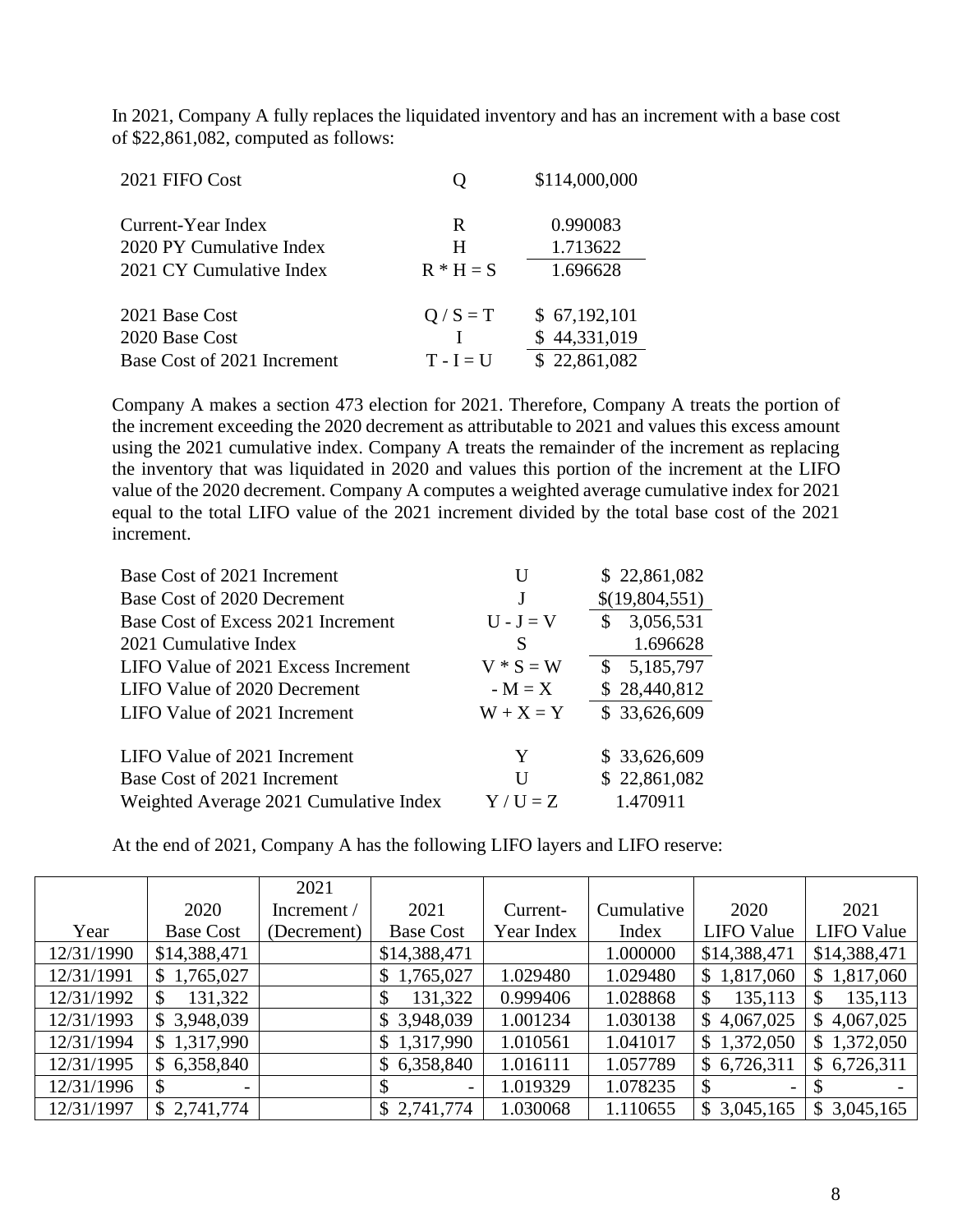In 2021, Company A fully replaces the liquidated inventory and has an increment with a base cost of \$22,861,082, computed as follows:

| 2021 FIFO Cost                                                  |                        | \$114,000,000                                |
|-----------------------------------------------------------------|------------------------|----------------------------------------------|
| Current-Year Index<br>2020 PY Cumulative Index                  | R<br>H                 | 0.990083<br>1.713622                         |
| 2021 CY Cumulative Index                                        | $R * H = S$            | 1.696628                                     |
| 2021 Base Cost<br>2020 Base Cost<br>Base Cost of 2021 Increment | $Q / S = T$<br>$T-I=U$ | \$67,192,101<br>\$44,331,019<br>\$22,861,082 |

Company A makes a section 473 election for 2021. Therefore, Company A treats the portion of the increment exceeding the 2020 decrement as attributable to 2021 and values this excess amount using the 2021 cumulative index. Company A treats the remainder of the increment as replacing the inventory that was liquidated in 2020 and values this portion of the increment at the LIFO value of the 2020 decrement. Company A computes a weighted average cumulative index for 2021 equal to the total LIFO value of the 2021 increment divided by the total base cost of the 2021 increment.

| Base Cost of 2021 Increment            | U           | \$22,861,082              |
|----------------------------------------|-------------|---------------------------|
| Base Cost of 2020 Decrement            | J           | \$(19,804,551)            |
| Base Cost of Excess 2021 Increment     | $U - J = V$ | 3,056,531<br>\$.          |
| 2021 Cumulative Index                  | S           | 1.696628                  |
| LIFO Value of 2021 Excess Increment    | $V * S = W$ | 5,185,797<br>$\mathbf{s}$ |
| LIFO Value of 2020 Decrement           | $-M = X$    | \$28,440,812              |
| LIFO Value of 2021 Increment           | $W + X = Y$ | \$33,626,609              |
| LIFO Value of 2021 Increment           | Y           | \$33,626,609              |
| Base Cost of 2021 Increment            | U           | \$22,861,082              |
| Weighted Average 2021 Cumulative Index | $Y/U = Z$   | 1.470911                  |

At the end of 2021, Company A has the following LIFO layers and LIFO reserve:

|            |                               | 2021        |                  |            |            |                             |                   |
|------------|-------------------------------|-------------|------------------|------------|------------|-----------------------------|-------------------|
|            | 2020                          | Increment / | 2021             | Current-   | Cumulative | 2020                        | 2021              |
| Year       | <b>Base Cost</b>              | (Decrement) | <b>Base Cost</b> | Year Index | Index      | <b>LIFO</b> Value           | <b>LIFO Value</b> |
| 12/31/1990 | \$14,388,471                  |             | \$14,388,471     |            | 1.000000   | \$14,388,471                | \$14,388,471      |
| 12/31/1991 | \$1,765,027                   |             | \$1,765,027      | 1.029480   | 1.029480   | 1,817,060<br>$\mathbb{S}^-$ | \$1,817,060       |
| 12/31/1992 | 131,322<br>S                  |             | 131,322          | 0.999406   | 1.028868   | 135,113<br>\$               | 135,113           |
| 12/31/1993 | \$3,948,039                   |             | \$3,948,039      | 1.001234   | 1.030138   | 4,067,025<br>\$             | 4,067,025<br>S.   |
| 12/31/1994 | \$1,317,990                   |             | \$1,317,990      | 1.010561   | 1.041017   | \$1,372,050                 | \$1,372,050       |
| 12/31/1995 | 6,358,840<br>S.               |             | \$6,358,840      | 1.016111   | 1.057789   | \$6,726,311                 | \$6,726,311       |
| 12/31/1996 | S<br>$\overline{\phantom{a}}$ |             | -                | 1.019329   | 1.078235   | \$<br>-                     |                   |
| 12/31/1997 | \$2,741,774                   |             | \$2,741,774      | 1.030068   | 1.110655   | \$3,045,165                 | \$3,045,165       |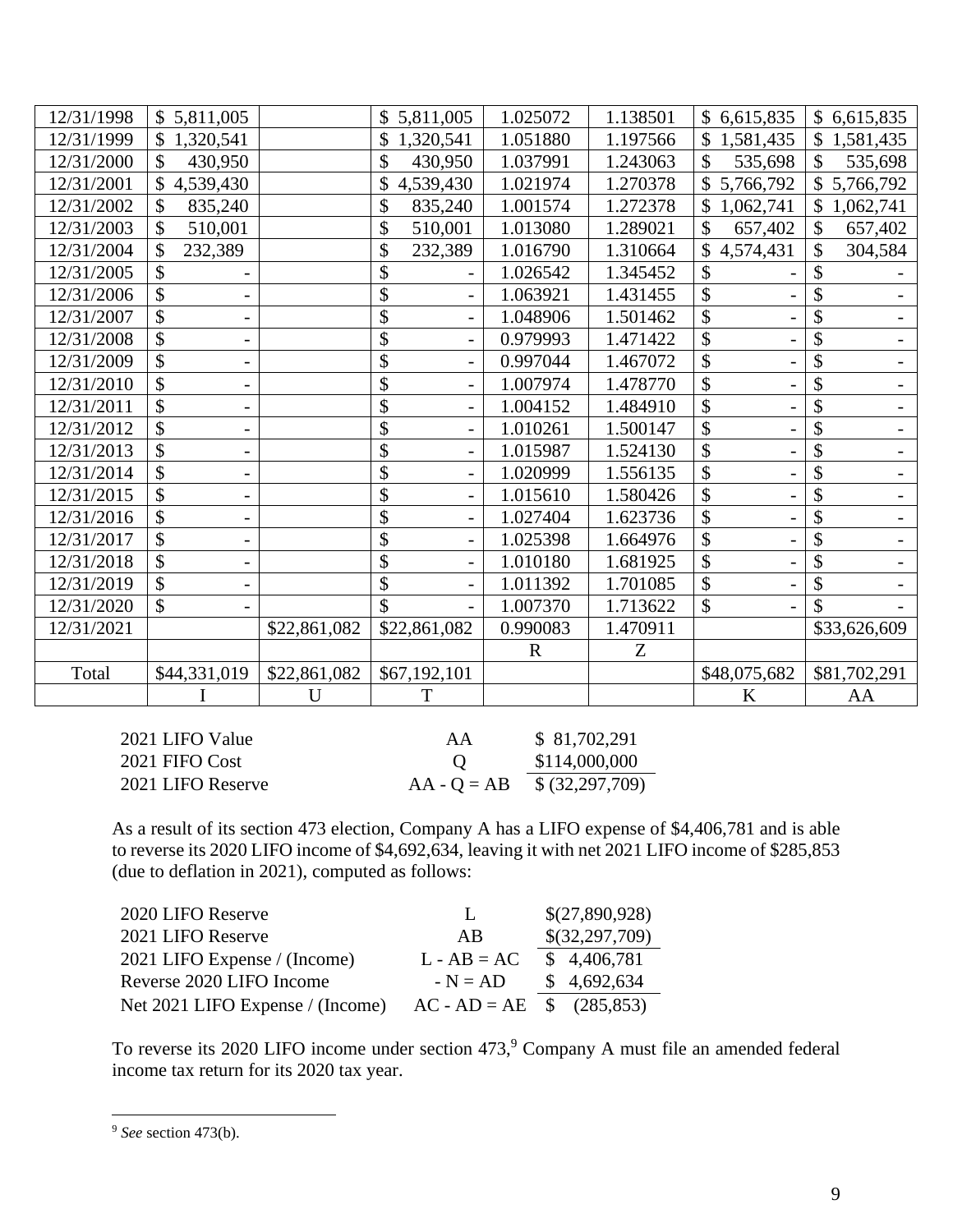| 12/31/1998 | \$5,811,005                        |              | 5,811,005     | 1.025072    | 1.138501 | \$6,615,835     | \$6,615,835               |
|------------|------------------------------------|--------------|---------------|-------------|----------|-----------------|---------------------------|
| 12/31/1999 | \$1,320,541                        |              | 1,320,541     | 1.051880    | 1.197566 | 1,581,435<br>\$ | \$1,581,435               |
| 12/31/2000 | 430,950<br>\$                      |              | \$<br>430,950 | 1.037991    | 1.243063 | \$<br>535,698   | \$<br>535,698             |
| 12/31/2001 | 4,539,430                          |              | 4,539,430     | 1.021974    | 1.270378 | 5,766,792       | \$5,766,792               |
| 12/31/2002 | \$<br>835,240                      |              | \$<br>835,240 | 1.001574    | 1.272378 | \$<br>1,062,741 | $\mathbb{S}$<br>1,062,741 |
| 12/31/2003 | 510,001                            |              | \$<br>510,001 | 1.013080    | 1.289021 | \$<br>657,402   | \$<br>657,402             |
| 12/31/2004 | 232,389                            |              | \$<br>232,389 | 1.016790    | 1.310664 | 4,574,431       | \$<br>304,584             |
| 12/31/2005 | \$                                 |              | \$            | 1.026542    | 1.345452 | \$              | \$                        |
| 12/31/2006 | \$                                 |              | \$            | 1.063921    | 1.431455 | \$              | \$                        |
| 12/31/2007 | \$                                 |              | \$            | 1.048906    | 1.501462 | \$              | \$                        |
| 12/31/2008 | \$                                 |              | \$            | 0.979993    | 1.471422 | \$              | \$                        |
| 12/31/2009 | \$                                 |              | \$            | 0.997044    | 1.467072 | \$              | \$                        |
| 12/31/2010 | \$                                 |              | \$            | 1.007974    | 1.478770 | \$              | \$                        |
| 12/31/2011 | \$                                 |              | \$            | 1.004152    | 1.484910 | \$              | \$                        |
| 12/31/2012 | \$<br>$\qquad \qquad \blacksquare$ |              | \$            | 1.010261    | 1.500147 | \$              | \$                        |
| 12/31/2013 | \$                                 |              | \$            | 1.015987    | 1.524130 | \$              | \$                        |
| 12/31/2014 |                                    |              | \$            | 1.020999    | 1.556135 | \$              | \$                        |
| 12/31/2015 | \$<br>-                            |              | \$            | 1.015610    | 1.580426 | \$              | \$                        |
| 12/31/2016 | \$                                 |              | \$            | 1.027404    | 1.623736 | \$              | \$                        |
| 12/31/2017 | \$                                 |              | \$            | 1.025398    | 1.664976 | \$              | \$                        |
| 12/31/2018 | \$                                 |              | \$            | 1.010180    | 1.681925 | \$              | \$                        |
| 12/31/2019 | \$<br>-                            |              | \$            | 1.011392    | 1.701085 | $\mathcal{S}$   | \$                        |
| 12/31/2020 | \$                                 |              | \$            | 1.007370    | 1.713622 | \$              | \$                        |
| 12/31/2021 |                                    | \$22,861,082 | \$22,861,082  | 0.990083    | 1.470911 |                 | \$33,626,609              |
|            |                                    |              |               | $\mathbf R$ | Z        |                 |                           |
| Total      | \$44,331,019                       | \$22,861,082 | \$67,192,101  |             |          | \$48,075,682    | \$81,702,291              |
|            |                                    | U            | T             |             |          | K               | AA                        |

| 2021 LIFO Value   | AA            | \$81,702,291    |
|-------------------|---------------|-----------------|
| 2021 FIFO Cost    |               | \$114,000,000   |
| 2021 LIFO Reserve | $AA - Q = AB$ | \$ (32,297,709) |

As a result of its section 473 election, Company A has a LIFO expense of \$4,406,781 and is able to reverse its 2020 LIFO income of \$4,692,634, leaving it with net 2021 LIFO income of \$285,853 (due to deflation in 2021), computed as follows:

| 2020 LIFO Reserve                | $\mathbf{L}$                | \$(27,890,928) |
|----------------------------------|-----------------------------|----------------|
| 2021 LIFO Reserve                | AB                          | \$(32,297,709) |
| 2021 LIFO Expense / (Income)     | $L - AB = AC$               | \$4,406,781    |
| Reverse 2020 LIFO Income         | $-N = AD$                   | \$4,692,634    |
| Net 2021 LIFO Expense / (Income) | $AC - AD = AE$ \$ (285,853) |                |

To reverse its 2020 LIFO income under section 473, <sup>9</sup> Company A must file an amended federal income tax return for its 2020 tax year.

<sup>9</sup> *See* section 473(b).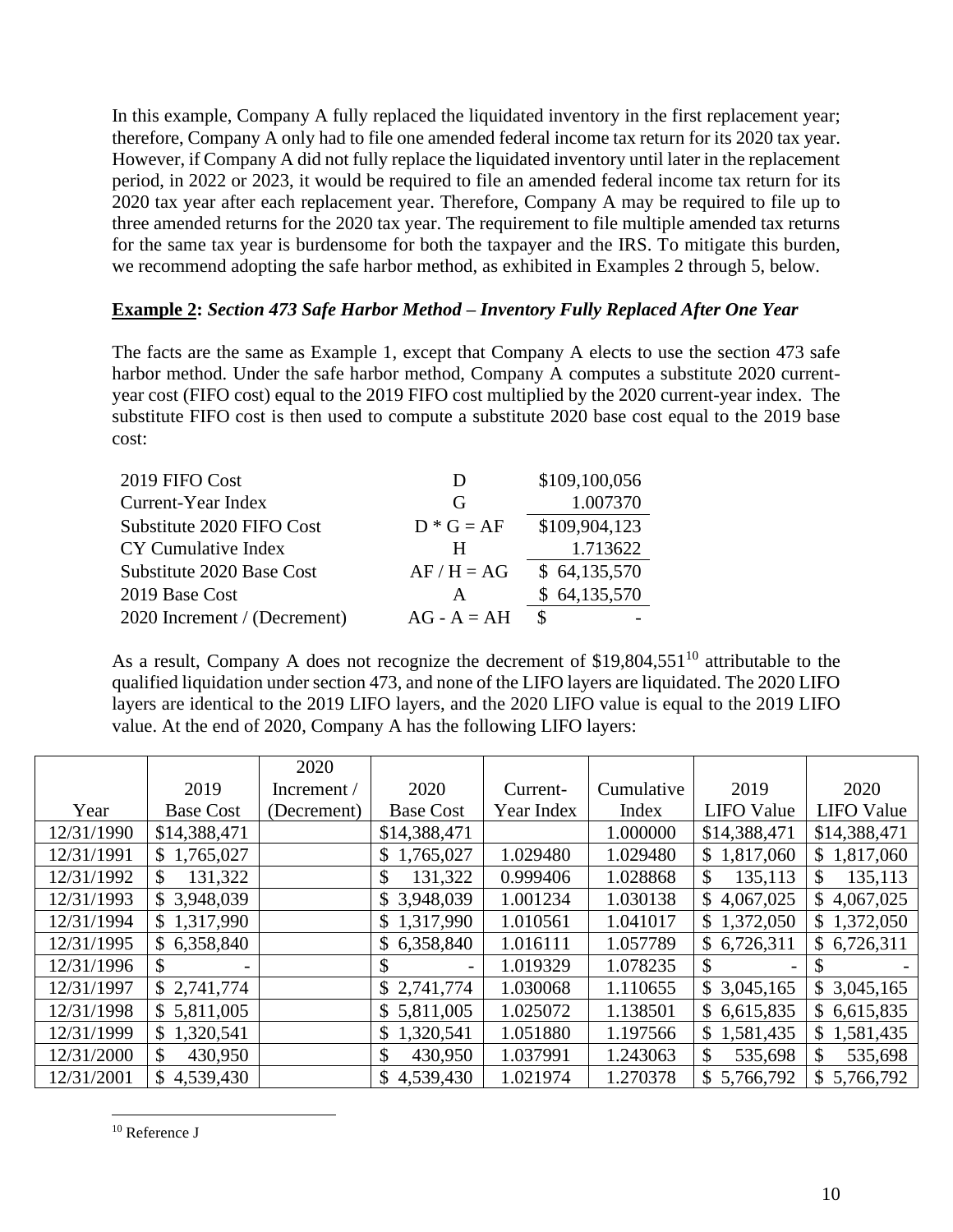In this example, Company A fully replaced the liquidated inventory in the first replacement year; therefore, Company A only had to file one amended federal income tax return for its 2020 tax year. However, if Company A did not fully replace the liquidated inventory until later in the replacement period, in 2022 or 2023, it would be required to file an amended federal income tax return for its 2020 tax year after each replacement year. Therefore, Company A may be required to file up to three amended returns for the 2020 tax year. The requirement to file multiple amended tax returns for the same tax year is burdensome for both the taxpayer and the IRS. To mitigate this burden, we recommend adopting the safe harbor method, as exhibited in Examples 2 through 5, below.

### **Example 2:** *Section 473 Safe Harbor Method – Inventory Fully Replaced After One Year*

The facts are the same as Example 1, except that Company A elects to use the section 473 safe harbor method. Under the safe harbor method, Company A computes a substitute 2020 currentyear cost (FIFO cost) equal to the 2019 FIFO cost multiplied by the 2020 current-year index. The substitute FIFO cost is then used to compute a substitute 2020 base cost equal to the 2019 base cost:

| 2019 FIFO Cost               | D             | \$109,100,056 |
|------------------------------|---------------|---------------|
| Current-Year Index           | G             | 1.007370      |
| Substitute 2020 FIFO Cost    | $D * G = AF$  | \$109,904,123 |
| CY Cumulative Index          | H             | 1.713622      |
| Substitute 2020 Base Cost    | $AF/H = AG$   | \$64,135,570  |
| 2019 Base Cost               | A             | \$64,135,570  |
| 2020 Increment / (Decrement) | $AG - A = AH$ | <sup>\$</sup> |

As a result, Company A does not recognize the decrement of  $$19,804,551^{10}$  attributable to the qualified liquidation under section 473, and none of the LIFO layers are liquidated. The 2020 LIFO layers are identical to the 2019 LIFO layers, and the 2020 LIFO value is equal to the 2019 LIFO value. At the end of 2020, Company A has the following LIFO layers:

|            |                         | 2020        |                  |            |            |                   |                           |
|------------|-------------------------|-------------|------------------|------------|------------|-------------------|---------------------------|
|            | 2019                    | Increment / | 2020             | Current-   | Cumulative | 2019              | 2020                      |
| Year       | <b>Base Cost</b>        | (Decrement) | <b>Base Cost</b> | Year Index | Index      | <b>LIFO</b> Value | <b>LIFO</b> Value         |
| 12/31/1990 | \$14,388,471            |             | \$14,388,471     |            | 1.000000   | \$14,388,471      | \$14,388,471              |
| 12/31/1991 | \$1,765,027             |             | \$1,765,027      | 1.029480   | 1.029480   | \$1,817,060       | 1,817,060<br>$\mathbb{S}$ |
| 12/31/1992 | 131,322<br>\$           |             | 131,322<br>\$    | 0.999406   | 1.028868   | \$<br>135,113     | \$<br>135,113             |
| 12/31/1993 | \$3,948,039             |             | \$3,948,039      | 1.001234   | 1.030138   | \$4,067,025       | 4,067,025<br>$\mathbb{S}$ |
| 12/31/1994 | \$1,317,990             |             | \$1,317,990      | 1.010561   | 1.041017   | \$1,372,050       | 1,372,050<br>$\mathbb{S}$ |
| 12/31/1995 | \$6,358,840             |             | \$6,358,840      | 1.016111   | 1.057789   | \$6,726,311       | \$6,726,311               |
| 12/31/1996 | \$                      |             |                  | 1.019329   | 1.078235   | <sup>\$</sup>     |                           |
| 12/31/1997 | \$2,741,774             |             | \$2,741,774      | 1.030068   | 1.110655   | \$3,045,165       | \$3,045,165               |
| 12/31/1998 | \$5,811,005             |             | \$5,811,005      | 1.025072   | 1.138501   | \$6,615,835       | \$6,615,835               |
| 12/31/1999 | \$1,320,541             |             | 1,320,541        | 1.051880   | 1.197566   | 1,581,435<br>S.   | 1,581,435<br>S.           |
| 12/31/2000 | $\mathbb{S}$<br>430,950 |             | 430,950          | 1.037991   | 1.243063   | \$.<br>535,698    | \$<br>535,698             |
| 12/31/2001 | \$4,539,430             |             | \$4,539,430      | 1.021974   | 1.270378   | \$5,766,792       | $\mathbb{S}$<br>5,766,792 |

<sup>&</sup>lt;sup>10</sup> Reference J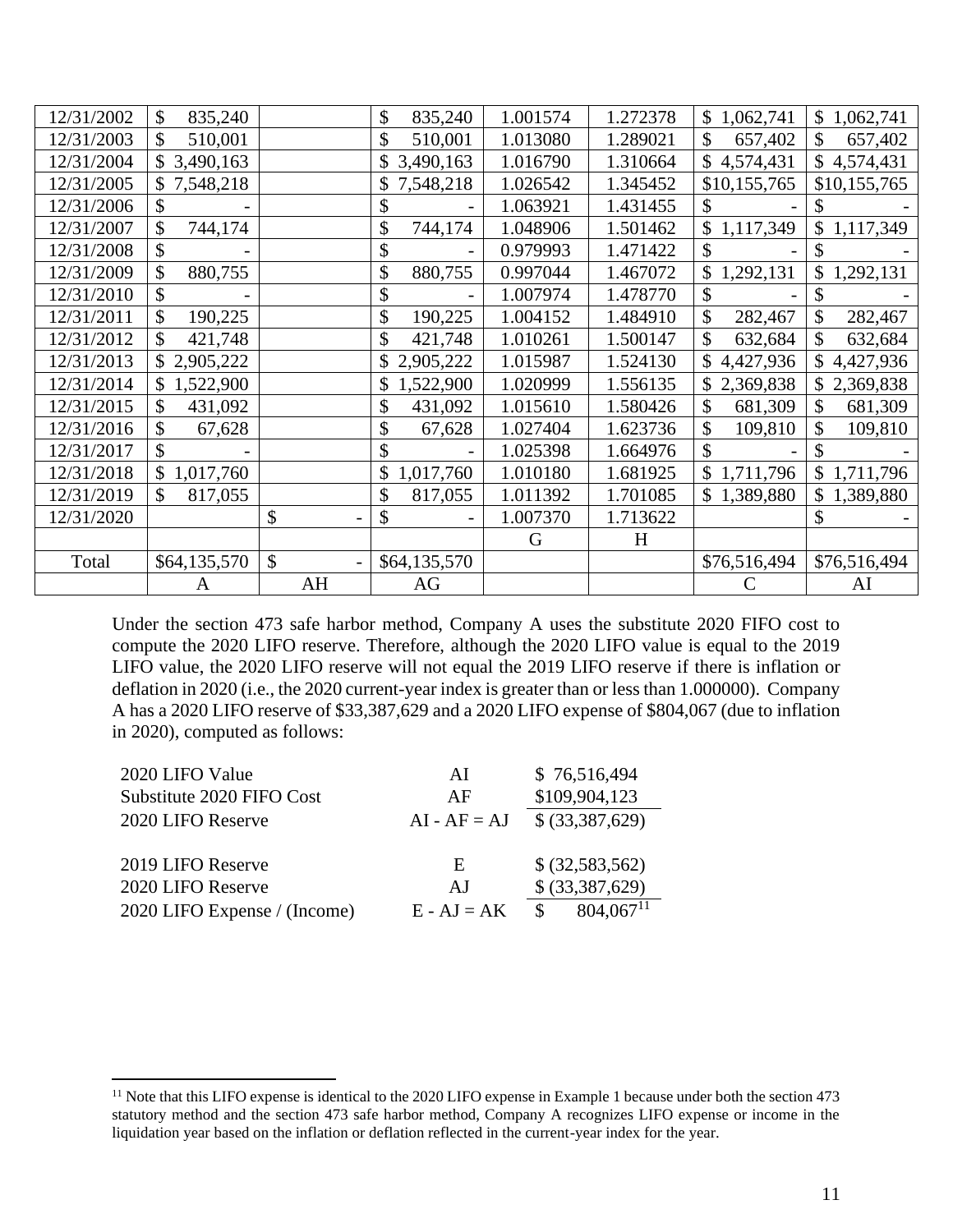| 12/31/2002 | \$<br>835,240   |                           | 835,240<br>\$ | 1.001574 | 1.272378 | 1,062,741<br>$\mathbb{S}^-$ | \$<br>1,062,741 |
|------------|-----------------|---------------------------|---------------|----------|----------|-----------------------------|-----------------|
| 12/31/2003 | \$<br>510,001   |                           | \$<br>510,001 | 1.013080 | 1.289021 | \$<br>657,402               | \$<br>657,402   |
| 12/31/2004 | 3,490,163       |                           | 3,490,163     | 1.016790 | 1.310664 | \$<br>4,574,431             | \$<br>4,574,431 |
| 12/31/2005 | \$7,548,218     |                           | 7,548,218     | 1.026542 | 1.345452 | \$10,155,765                | \$10,155,765    |
| 12/31/2006 | \$              |                           |               | 1.063921 | 1.431455 |                             |                 |
| 12/31/2007 | \$<br>744,174   |                           | \$<br>744,174 | 1.048906 | 1.501462 | \$1,117,349                 | \$<br>1,117,349 |
| 12/31/2008 | \$              |                           | \$            | 0.979993 | 1.471422 | \$                          | \$              |
| 12/31/2009 | 880,755<br>\$   |                           | \$<br>880,755 | 0.997044 | 1.467072 | \$<br>1,292,131             | \$<br>1,292,131 |
| 12/31/2010 | \$              |                           | \$            | 1.007974 | 1.478770 | \$                          | \$              |
| 12/31/2011 | \$<br>190,225   |                           | \$<br>190,225 | 1.004152 | 1.484910 | \$<br>282,467               | \$<br>282,467   |
| 12/31/2012 | 421,748         |                           | \$<br>421,748 | 1.010261 | 1.500147 | 632,684                     | \$<br>632,684   |
| 12/31/2013 | \$2,905,222     |                           | 2,905,222     | 1.015987 | 1.524130 | \$4,427,936                 | \$<br>4,427,936 |
| 12/31/2014 | 1,522,900<br>\$ |                           | 1,522,900     | 1.020999 | 1.556135 | \$2,369,838                 | 2,369,838       |
| 12/31/2015 | 431,092<br>\$   |                           | \$<br>431,092 | 1.015610 | 1.580426 | \$<br>681,309               | \$<br>681,309   |
| 12/31/2016 | 67,628          |                           | \$<br>67,628  | 1.027404 | 1.623736 | \$<br>109,810               | \$<br>109,810   |
| 12/31/2017 | \$              |                           | \$            | 1.025398 | 1.664976 |                             | \$              |
| 12/31/2018 | 1,017,760<br>\$ |                           | 1,017,760     | 1.010180 | 1.681925 | \$1,711,796                 | 1,711,796<br>\$ |
| 12/31/2019 | 817,055<br>\$   |                           | \$<br>817,055 | 1.011392 | 1.701085 | \$1,389,880                 | \$<br>1,389,880 |
| 12/31/2020 |                 | \$                        | \$            | 1.007370 | 1.713622 |                             | \$              |
|            |                 |                           |               | G        | H        |                             |                 |
| Total      | \$64,135,570    | $\boldsymbol{\mathsf{S}}$ | \$64,135,570  |          |          | \$76,516,494                | \$76,516,494    |
|            | A               | AH                        | AG            |          |          |                             | AI              |

Under the section 473 safe harbor method, Company A uses the substitute 2020 FIFO cost to compute the 2020 LIFO reserve. Therefore, although the 2020 LIFO value is equal to the 2019 LIFO value, the 2020 LIFO reserve will not equal the 2019 LIFO reserve if there is inflation or deflation in 2020 (i.e., the 2020 current-year index is greater than or less than 1.000000). Company A has a 2020 LIFO reserve of \$33,387,629 and a 2020 LIFO expense of \$804,067 (due to inflation in 2020), computed as follows:

| 2020 LIFO Value              | AI             | \$76,516,494                  |
|------------------------------|----------------|-------------------------------|
| Substitute 2020 FIFO Cost    | AF             | \$109,904,123                 |
| 2020 LIFO Reserve            | $AI - AF = AJ$ | \$ (33,387,629)               |
|                              |                |                               |
| 2019 LIFO Reserve            | E              | \$ (32,583,562)               |
| 2020 LIFO Reserve            | A.I            | \$ (33, 387, 629)             |
| 2020 LIFO Expense / (Income) | $E - AJ = AK$  | $804.067$ <sup>11</sup><br>\$ |
|                              |                |                               |

<sup>&</sup>lt;sup>11</sup> Note that this LIFO expense is identical to the 2020 LIFO expense in Example 1 because under both the section 473 statutory method and the section 473 safe harbor method, Company A recognizes LIFO expense or income in the liquidation year based on the inflation or deflation reflected in the current-year index for the year.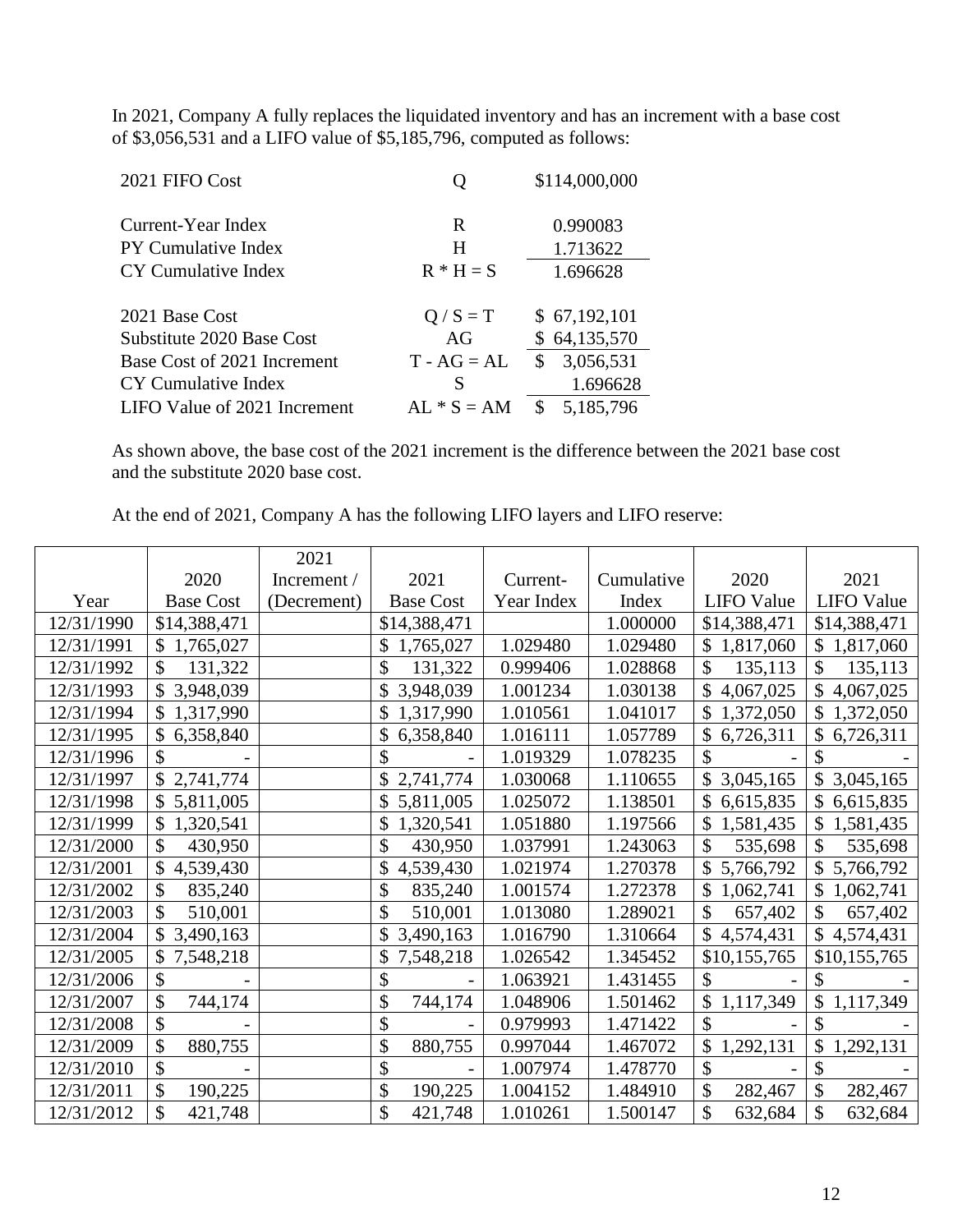In 2021, Company A fully replaces the liquidated inventory and has an increment with a base cost of \$3,056,531 and a LIFO value of \$5,185,796, computed as follows:

| 2021 FIFO Cost               |               | \$114,000,000    |
|------------------------------|---------------|------------------|
| Current-Year Index           | R             | 0.990083         |
| <b>PY Cumulative Index</b>   | H             | 1.713622         |
| CY Cumulative Index          | $R * H = S$   | 1.696628         |
|                              |               |                  |
| 2021 Base Cost               | $Q / S = T$   | \$67,192,101     |
| Substitute 2020 Base Cost    | AG            | \$64,135,570     |
| Base Cost of 2021 Increment  | $T - AG = AL$ | 3,056,531<br>\$. |
| CY Cumulative Index          | S             | 1.696628         |
| LIFO Value of 2021 Increment | $AL * S = AM$ | 5,185,796<br>S   |

As shown above, the base cost of the 2021 increment is the difference between the 2021 base cost and the substitute 2020 base cost.

At the end of 2021, Company A has the following LIFO layers and LIFO reserve:

|            |                  | 2021        |                  |            |            |                            |                                |
|------------|------------------|-------------|------------------|------------|------------|----------------------------|--------------------------------|
|            | 2020             | Increment / | 2021             | Current-   | Cumulative | 2020                       | 2021                           |
| Year       | <b>Base Cost</b> | (Decrement) | <b>Base Cost</b> | Year Index | Index      | <b>LIFO</b> Value          | <b>LIFO</b> Value              |
| 12/31/1990 | \$14,388,471     |             | \$14,388,471     |            | 1.000000   | \$14,388,471               | \$14,388,471                   |
| 12/31/1991 | \$1,765,027      |             | \$<br>1,765,027  | 1.029480   | 1.029480   | \$1,817,060                | $\mathbb{S}^-$<br>1,817,060    |
| 12/31/1992 | \$<br>131,322    |             | \$<br>131,322    | 0.999406   | 1.028868   | \$<br>135,113              | \$<br>135,113                  |
| 12/31/1993 | \$3,948,039      |             | 3,948,039        | 1.001234   | 1.030138   | $\mathbb{S}$<br>4,067,025  | $\mathcal{S}$<br>4,067,025     |
| 12/31/1994 | \$1,317,990      |             | 1,317,990<br>\$  | 1.010561   | 1.041017   | \$1,372,050                | \$1,372,050                    |
| 12/31/1995 | 6,358,840        |             | 6,358,840        | 1.016111   | 1.057789   | \$<br>6,726,311            | \$<br>6,726,311                |
| 12/31/1996 |                  |             | \$               | 1.019329   | 1.078235   | $\mathcal{S}$              | \$                             |
| 12/31/1997 | \$2,741,774      |             | 2,741,774        | 1.030068   | 1.110655   | \$3,045,165                | \$<br>3,045,165                |
| 12/31/1998 | \$5,811,005      |             | 5,811,005        | 1.025072   | 1.138501   | $\mathcal{S}$<br>6,615,835 | $\mathbb{S}$<br>6,615,835      |
| 12/31/1999 | \$1,320,541      |             | \$<br>1,320,541  | 1.051880   | 1.197566   | \$1,581,435                | \$<br>1,581,435                |
| 12/31/2000 | \$<br>430,950    |             | \$<br>430,950    | 1.037991   | 1.243063   | \$<br>535,698              | \$<br>535,698                  |
| 12/31/2001 | \$<br>4,539,430  |             | \$<br>4,539,430  | 1.021974   | 1.270378   | \$5,766,792                | \$5,766,792                    |
| 12/31/2002 | \$<br>835,240    |             | \$<br>835,240    | 1.001574   | 1.272378   | $\mathcal{S}$<br>1,062,741 | $\mathcal{S}$<br>1,062,741     |
| 12/31/2003 | \$<br>510,001    |             | \$<br>510,001    | 1.013080   | 1.289021   | $\mathcal{S}$<br>657,402   | \$<br>657,402                  |
| 12/31/2004 | \$3,490,163      |             | 3,490,163        | 1.016790   | 1.310664   | \$4,574,431                | \$4,574,431                    |
| 12/31/2005 | \$7,548,218      |             | \$<br>7,548,218  | 1.026542   | 1.345452   | \$10,155,765               | \$10,155,765                   |
| 12/31/2006 | \$               |             | \$               | 1.063921   | 1.431455   | \$                         | \$                             |
| 12/31/2007 | \$<br>744,174    |             | \$<br>744,174    | 1.048906   | 1.501462   | \$1,117,349                | \$<br>1,117,349                |
| 12/31/2008 | \$               |             | \$               | 0.979993   | 1.471422   | $\mathcal{S}$              | \$                             |
| 12/31/2009 | \$<br>880,755    |             | \$<br>880,755    | 0.997044   | 1.467072   | \$<br>1,292,131            | $\mathcal{S}$<br>1,292,131     |
| 12/31/2010 | \$               |             | \$               | 1.007974   | 1.478770   | \$                         | \$                             |
| 12/31/2011 | \$<br>190,225    |             | \$<br>190,225    | 1.004152   | 1.484910   | \$<br>282,467              | $\hat{\mathcal{L}}$<br>282,467 |
| 12/31/2012 | \$<br>421,748    |             | \$<br>421,748    | 1.010261   | 1.500147   | \$<br>632,684              | \$<br>632,684                  |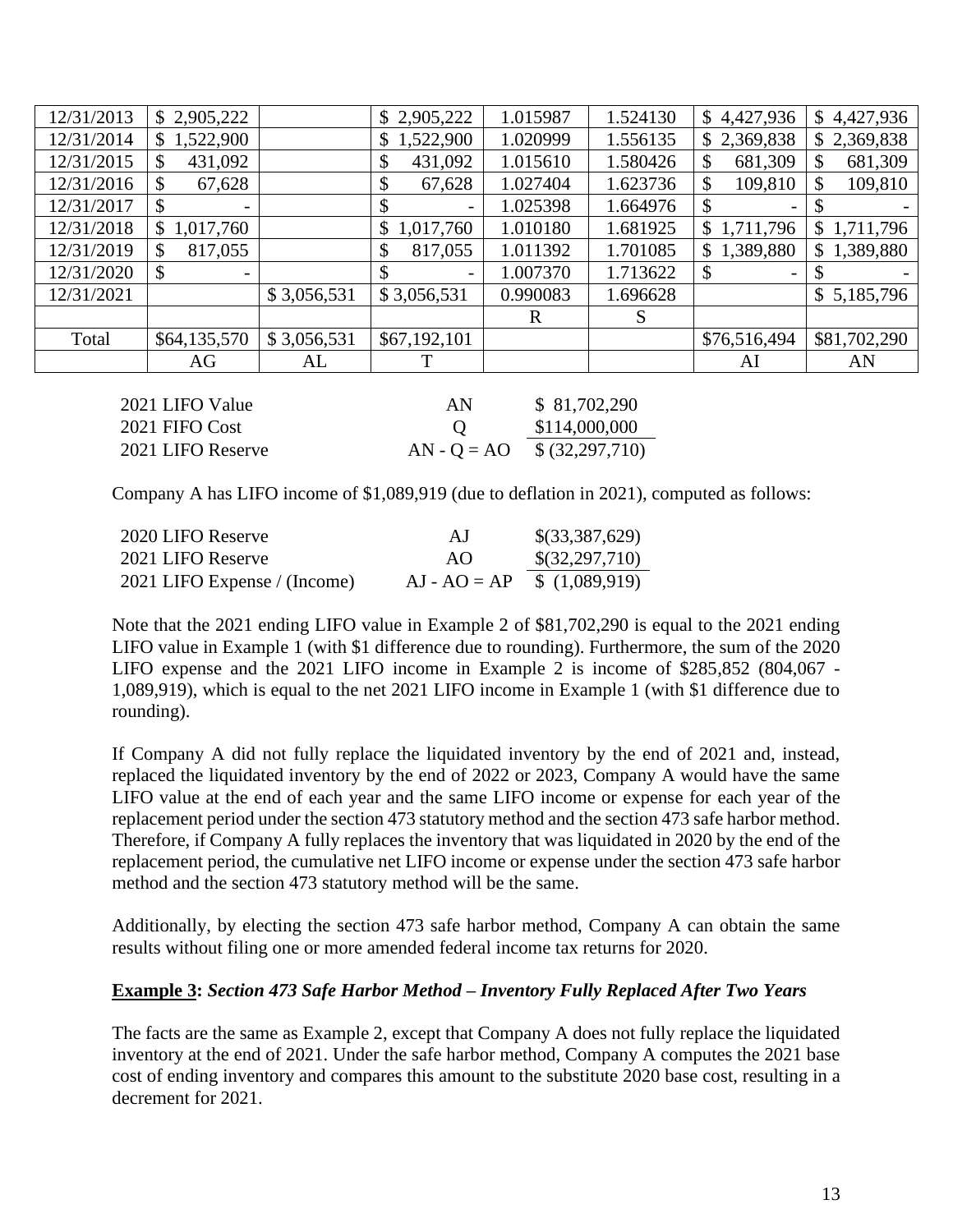| \$2,905,222              |             | \$2,905,222               | 1.015987 | 1.524130 | \$4,427,936     | 4,427,936<br>\$ |
|--------------------------|-------------|---------------------------|----------|----------|-----------------|-----------------|
| 1,522,900                |             | \$1,522,900               | 1.020999 | 1.556135 | \$2,369,838     | \$2,369,838     |
| 431,092<br>Ъ             |             | 431,092<br>\$             | 1.015610 | 1.580426 | 681,309<br>\$   | 681,309<br>\$   |
| 67,628<br>Ф              |             | \$<br>67,628              | 1.027404 | 1.623736 | 109,810<br>\$   | 109,810<br>\$   |
| $\overline{\phantom{a}}$ |             | -                         | 1.025398 | 1.664976 | Ξ.              |                 |
| 1,017,760                |             | 1,017,760<br>$\mathbb{S}$ | 1.010180 | 1.681925 | 1,711,796<br>\$ | 1,711,796<br>\$ |
| 817,055<br>S             |             | 817,055<br>\$             | 1.011392 | 1.701085 | 1,389,880<br>\$ | 1,389,880<br>\$ |
| \$                       |             |                           | 1.007370 | 1.713622 | \$<br>-         |                 |
|                          | \$3,056,531 | \$3,056,531               | 0.990083 | 1.696628 |                 | \$5,185,796     |
|                          |             |                           | R        | S        |                 |                 |
| \$64,135,570             | \$3,056,531 | \$67,192,101              |          |          | \$76,516,494    | \$81,702,290    |
| AG                       | AL          | Т                         |          |          | AI              | AN              |
|                          |             |                           |          |          |                 |                 |

| 2021 LIFO Value   | AN.           | \$81,702,290                  |
|-------------------|---------------|-------------------------------|
| 2021 FIFO Cost    | <sup>()</sup> | \$114,000,000                 |
| 2021 LIFO Reserve |               | $AN - Q = AO$ \$ (32,297,710) |

Company A has LIFO income of \$1,089,919 (due to deflation in 2021), computed as follows:

| 2020 LIFO Reserve            | A.J                           | \$(33,387,629) |
|------------------------------|-------------------------------|----------------|
| 2021 LIFO Reserve            | A()                           | \$(32,297,710) |
| 2021 LIFO Expense / (Income) | $AJ - AO = AP$ \$ (1,089,919) |                |

Note that the 2021 ending LIFO value in Example 2 of \$81,702,290 is equal to the 2021 ending LIFO value in Example 1 (with \$1 difference due to rounding). Furthermore, the sum of the 2020 LIFO expense and the 2021 LIFO income in Example 2 is income of \$285,852 (804,067 - 1,089,919), which is equal to the net 2021 LIFO income in Example 1 (with \$1 difference due to rounding).

If Company A did not fully replace the liquidated inventory by the end of 2021 and, instead, replaced the liquidated inventory by the end of 2022 or 2023, Company A would have the same LIFO value at the end of each year and the same LIFO income or expense for each year of the replacement period under the section 473 statutory method and the section 473 safe harbor method. Therefore, if Company A fully replaces the inventory that was liquidated in 2020 by the end of the replacement period, the cumulative net LIFO income or expense under the section 473 safe harbor method and the section 473 statutory method will be the same.

Additionally, by electing the section 473 safe harbor method, Company A can obtain the same results without filing one or more amended federal income tax returns for 2020.

### **Example 3:** *Section 473 Safe Harbor Method – Inventory Fully Replaced After Two Years*

The facts are the same as Example 2, except that Company A does not fully replace the liquidated inventory at the end of 2021. Under the safe harbor method, Company A computes the 2021 base cost of ending inventory and compares this amount to the substitute 2020 base cost, resulting in a decrement for 2021.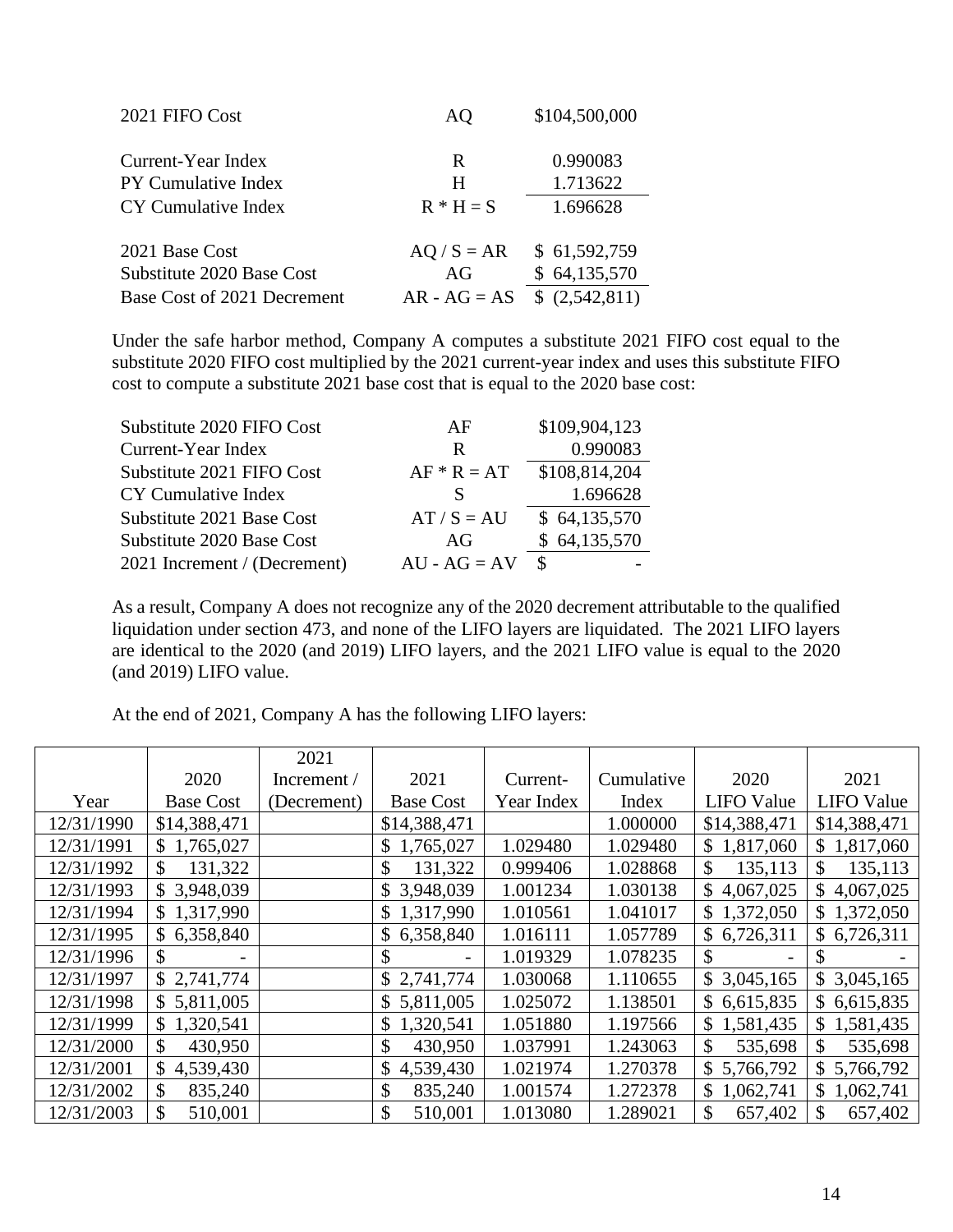| 2021 FIFO Cost              | AQ             | \$104,500,000 |
|-----------------------------|----------------|---------------|
| Current-Year Index          | R              | 0.990083      |
| <b>PY Cumulative Index</b>  | H              | 1.713622      |
| CY Cumulative Index         | $R * H = S$    | 1.696628      |
| 2021 Base Cost              | $AQ / S = AR$  | \$61,592,759  |
| Substitute 2020 Base Cost   | AG             | \$64,135,570  |
| Base Cost of 2021 Decrement | $AR - AG = AS$ | (2,542,811)   |

Under the safe harbor method, Company A computes a substitute 2021 FIFO cost equal to the substitute 2020 FIFO cost multiplied by the 2021 current-year index and uses this substitute FIFO cost to compute a substitute 2021 base cost that is equal to the 2020 base cost:

| AF             | \$109,904,123 |
|----------------|---------------|
| R              | 0.990083      |
| $AF * R = AT$  | \$108,814,204 |
| S              | 1.696628      |
| $AT / S = AU$  | \$64,135,570  |
| AG             | \$64,135,570  |
| $AU - AG = AV$ | <sup>\$</sup> |
|                |               |

As a result, Company A does not recognize any of the 2020 decrement attributable to the qualified liquidation under section 473, and none of the LIFO layers are liquidated. The 2021 LIFO layers are identical to the 2020 (and 2019) LIFO layers, and the 2021 LIFO value is equal to the 2020 (and 2019) LIFO value.

At the end of 2021, Company A has the following LIFO layers:

|            |                  | 2021        |                          |            |            |                             |                           |
|------------|------------------|-------------|--------------------------|------------|------------|-----------------------------|---------------------------|
|            | 2020             | Increment / | 2021                     | Current-   | Cumulative | 2020                        | 2021                      |
| Year       | <b>Base Cost</b> | (Decrement) | <b>Base Cost</b>         | Year Index | Index      | <b>LIFO</b> Value           | <b>LIFO</b> Value         |
| 12/31/1990 | \$14,388,471     |             | \$14,388,471             |            | 1.000000   | \$14,388,471                | \$14,388,471              |
| 12/31/1991 | \$1,765,027      |             | \$1,765,027              | 1.029480   | 1.029480   | $\mathbb{S}^-$<br>1,817,060 | \$1,817,060               |
| 12/31/1992 | 131,322<br>\$    |             | 131,322<br>$\mathcal{S}$ | 0.999406   | 1.028868   | \$<br>135,113               | $\mathcal{S}$<br>135,113  |
| 12/31/1993 | \$3,948,039      |             | \$3,948,039              | 1.001234   | 1.030138   | \$4,067,025                 | 4,067,025<br>$\mathbb{S}$ |
| 12/31/1994 | \$1,317,990      |             | \$1,317,990              | 1.010561   | 1.041017   | \$1,372,050                 | 1,372,050<br>$\mathbb{S}$ |
| 12/31/1995 | 6,358,840<br>\$  |             | \$6,358,840              | 1.016111   | 1.057789   | \$6,726,311                 | $\mathbb{S}$<br>6,726,311 |
| 12/31/1996 |                  |             |                          | 1.019329   | 1.078235   |                             | S                         |
| 12/31/1997 | \$2,741,774      |             | \$2,741,774              | 1.030068   | 1.110655   | \$3,045,165                 | \$3,045,165               |
| 12/31/1998 | 5,811,005<br>S.  |             | \$5,811,005              | 1.025072   | 1.138501   | \$6,615,835                 | 6,615,835<br>$\mathbb{S}$ |
| 12/31/1999 | 1,320,541        |             | \$1,320,541              | 1.051880   | 1.197566   | $\mathbb{S}^-$<br>1,581,435 | 1,581,435<br>$\mathbb{S}$ |
| 12/31/2000 | 430,950          |             | 430,950                  | 1.037991   | 1.243063   | 535,698                     | \$<br>535,698             |
| 12/31/2001 | 4,539,430<br>\$  |             | \$4,539,430              | 1.021974   | 1.270378   | \$5,766,792                 | \$5,766,792               |
| 12/31/2002 | \$<br>835,240    |             | \$<br>835,240            | 1.001574   | 1.272378   | 1,062,741                   | \$1,062,741               |
| 12/31/2003 | 510,001<br>\$    |             | \$<br>510,001            | 1.013080   | 1.289021   | \$<br>657,402               | \$<br>657,402             |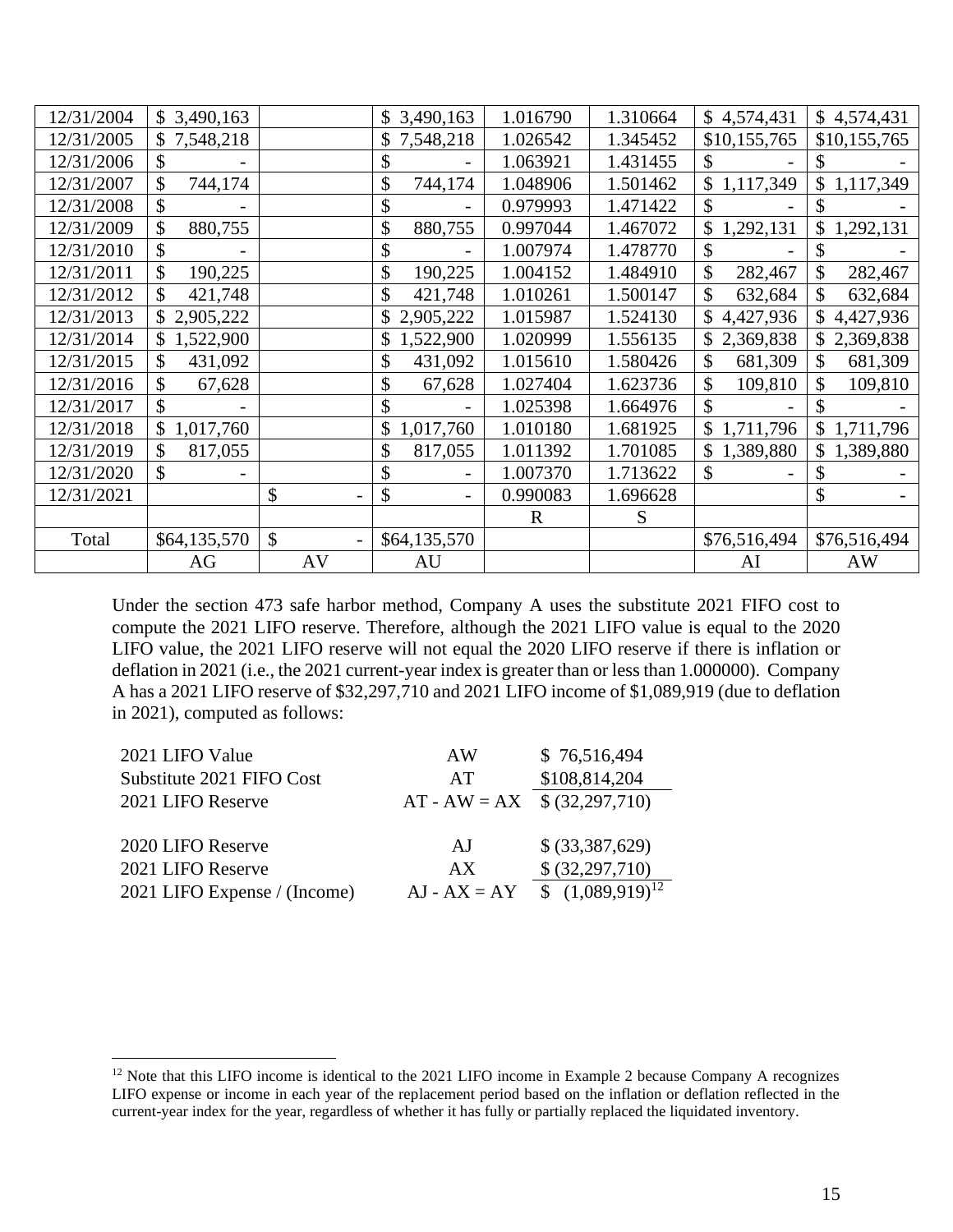| 12/31/2004 | \$3,490,163     |    | \$3,490,163     | 1.016790    | 1.310664 | \$4,574,431                 | \$4,574,431     |
|------------|-----------------|----|-----------------|-------------|----------|-----------------------------|-----------------|
| 12/31/2005 | \$7,548,218     |    | \$7,548,218     | 1.026542    | 1.345452 | \$10,155,765                | \$10,155,765    |
| 12/31/2006 | \$              |    | \$              | 1.063921    | 1.431455 | \$                          |                 |
| 12/31/2007 | \$<br>744,174   |    | \$<br>744,174   | 1.048906    | 1.501462 | 1,117,349<br>$\mathbb{S}^-$ | \$<br>1,117,349 |
| 12/31/2008 | \$              |    | \$              | 0.979993    | 1.471422 | \$                          | \$              |
| 12/31/2009 | \$<br>880,755   |    | \$<br>880,755   | 0.997044    | 1.467072 | $\mathcal{S}$<br>1,292,131  | \$<br>1,292,131 |
| 12/31/2010 | \$              |    | \$              | 1.007974    | 1.478770 | \$                          | \$              |
| 12/31/2011 | \$<br>190,225   |    | \$<br>190,225   | 1.004152    | 1.484910 | \$<br>282,467               | \$<br>282,467   |
| 12/31/2012 | \$<br>421,748   |    | \$<br>421,748   | 1.010261    | 1.500147 | \$<br>632,684               | \$<br>632,684   |
| 12/31/2013 | \$2,905,222     |    | \$2,905,222     | 1.015987    | 1.524130 | $\mathbb{S}$<br>4,427,936   | \$<br>4,427,936 |
| 12/31/2014 | \$1,522,900     |    | \$1,522,900     | 1.020999    | 1.556135 | \$2,369,838                 | \$2,369,838     |
| 12/31/2015 | \$<br>431,092   |    | 431,092<br>\$   | 1.015610    | 1.580426 | 681,309                     | \$<br>681,309   |
| 12/31/2016 | \$<br>67,628    |    | \$<br>67,628    | 1.027404    | 1.623736 | \$<br>109,810               | \$<br>109,810   |
| 12/31/2017 | \$              |    | \$              | 1.025398    | 1.664976 | \$                          | \$              |
| 12/31/2018 | 1,017,760<br>\$ |    | 1,017,760<br>\$ | 1.010180    | 1.681925 | 1,711,796<br>$\mathbb{S}$   | \$<br>1,711,796 |
| 12/31/2019 | \$<br>817,055   |    | \$<br>817,055   | 1.011392    | 1.701085 | 1,389,880                   | \$<br>1,389,880 |
| 12/31/2020 | \$              |    | \$              | 1.007370    | 1.713622 | \$                          | \$              |
| 12/31/2021 |                 | \$ | \$              | 0.990083    | 1.696628 |                             | \$              |
|            |                 |    |                 | $\mathbf R$ | S        |                             |                 |
| Total      | \$64,135,570    | \$ | \$64,135,570    |             |          | \$76,516,494                | \$76,516,494    |
|            | AG              | AV | AU              |             |          | AI                          | <b>AW</b>       |
|            |                 |    |                 |             |          |                             |                 |

Under the section 473 safe harbor method, Company A uses the substitute 2021 FIFO cost to compute the 2021 LIFO reserve. Therefore, although the 2021 LIFO value is equal to the 2020 LIFO value, the 2021 LIFO reserve will not equal the 2020 LIFO reserve if there is inflation or deflation in 2021 (i.e., the 2021 current-year index is greater than or less than 1.000000). Company A has a 2021 LIFO reserve of \$32,297,710 and 2021 LIFO income of \$1,089,919 (due to deflation in 2021), computed as follows:

| 2021 LIFO Value              | AW                            | \$76,516,494         |
|------------------------------|-------------------------------|----------------------|
| Substitute 2021 FIFO Cost    | AT                            | \$108,814,204        |
| 2021 LIFO Reserve            | AT - AW = AX $$ (32,297,710)$ |                      |
|                              |                               |                      |
| 2020 LIFO Reserve            | AJ                            | \$ (33,387,629)      |
| 2021 LIFO Reserve            | AX                            | \$ (32,297,710)      |
| 2021 LIFO Expense / (Income) | $AJ - AX = AY$                | $$(1,089,919)^{12}$$ |
|                              |                               |                      |

<sup>&</sup>lt;sup>12</sup> Note that this LIFO income is identical to the 2021 LIFO income in Example 2 because Company A recognizes LIFO expense or income in each year of the replacement period based on the inflation or deflation reflected in the current-year index for the year, regardless of whether it has fully or partially replaced the liquidated inventory.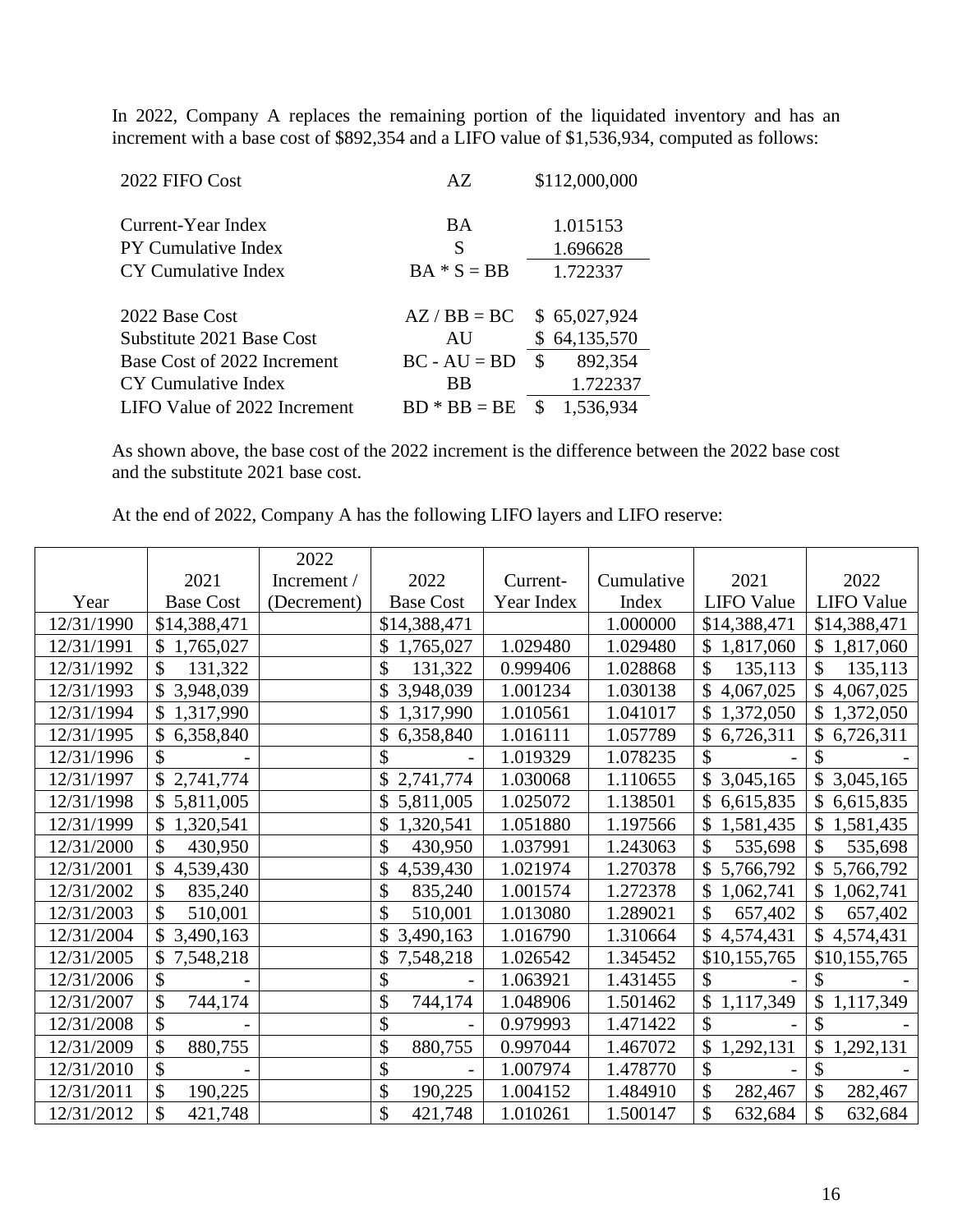In 2022, Company A replaces the remaining portion of the liquidated inventory and has an increment with a base cost of \$892,354 and a LIFO value of \$1,536,934, computed as follows:

| 2022 FIFO Cost               | AZ             | \$112,000,000   |
|------------------------------|----------------|-----------------|
|                              |                |                 |
| Current-Year Index           | BA             | 1.015153        |
| <b>PY Cumulative Index</b>   | S              | 1.696628        |
| CY Cumulative Index          | $BA * S = BB$  | 1.722337        |
|                              |                |                 |
| 2022 Base Cost               | $AZ/BB = BC$   | \$65,027,924    |
| Substitute 2021 Base Cost    | AU             | \$64,135,570    |
| Base Cost of 2022 Increment  | $BC - AU = BD$ | 892,354<br>S    |
| CY Cumulative Index          | BB             | 1.722337        |
| LIFO Value of 2022 Increment | $BD * BB = BE$ | 1,536,934<br>\$ |

As shown above, the base cost of the 2022 increment is the difference between the 2022 base cost and the substitute 2021 base cost.

At the end of 2022, Company A has the following LIFO layers and LIFO reserve:

|            |                  | 2022        |                  |            |            |                            |                             |
|------------|------------------|-------------|------------------|------------|------------|----------------------------|-----------------------------|
|            | 2021             | Increment / | 2022             | Current-   | Cumulative | 2021                       | 2022                        |
| Year       | <b>Base Cost</b> | (Decrement) | <b>Base Cost</b> | Year Index | Index      | <b>LIFO Value</b>          | <b>LIFO</b> Value           |
| 12/31/1990 | \$14,388,471     |             | \$14,388,471     |            | 1.000000   | \$14,388,471               | \$14,388,471                |
| 12/31/1991 | \$1,765,027      |             | \$<br>1,765,027  | 1.029480   | 1.029480   | \$1,817,060                | $\mathbb{S}^-$<br>1,817,060 |
| 12/31/1992 | \$<br>131,322    |             | \$<br>131,322    | 0.999406   | 1.028868   | \$<br>135,113              | \$<br>135,113               |
| 12/31/1993 | \$3,948,039      |             | 3,948,039        | 1.001234   | 1.030138   | $\mathbb{S}$<br>4,067,025  | $\mathbb{S}$<br>4,067,025   |
| 12/31/1994 | \$1,317,990      |             | 1,317,990<br>\$  | 1.010561   | 1.041017   | \$1,372,050                | \$1,372,050                 |
| 12/31/1995 | 6,358,840        |             | 6,358,840        | 1.016111   | 1.057789   | \$<br>6,726,311            | \$<br>6,726,311             |
| 12/31/1996 |                  |             | \$               | 1.019329   | 1.078235   | $\mathcal{S}$              | \$                          |
| 12/31/1997 | \$2,741,774      |             | 2,741,774<br>\$  | 1.030068   | 1.110655   | \$3,045,165                | $\mathcal{S}$<br>3,045,165  |
| 12/31/1998 | \$5,811,005      |             | 5,811,005        | 1.025072   | 1.138501   | $\mathcal{S}$<br>6,615,835 | $\mathcal{S}$<br>6,615,835  |
| 12/31/1999 | \$1,320,541      |             | 1,320,541<br>\$  | 1.051880   | 1.197566   | \$1,581,435                | $\mathbb{S}$<br>1,581,435   |
| 12/31/2000 | \$<br>430,950    |             | \$<br>430,950    | 1.037991   | 1.243063   | \$<br>535,698              | \$<br>535,698               |
| 12/31/2001 | \$<br>4,539,430  |             | \$<br>4,539,430  | 1.021974   | 1.270378   | \$5,766,792                | $\mathbb{S}^-$<br>5,766,792 |
| 12/31/2002 | \$<br>835,240    |             | \$<br>835,240    | 1.001574   | 1.272378   | $\mathcal{S}$<br>1,062,741 | $\mathcal{S}$<br>1,062,741  |
| 12/31/2003 | \$<br>510,001    |             | \$<br>510,001    | 1.013080   | 1.289021   | $\mathcal{S}$<br>657,402   | \$<br>657,402               |
| 12/31/2004 | \$3,490,163      |             | 3,490,163        | 1.016790   | 1.310664   | \$4,574,431                | $\mathbb{S}$<br>4,574,431   |
| 12/31/2005 | 7,548,218        |             | 7,548,218        | 1.026542   | 1.345452   | \$10,155,765               | \$10,155,765                |
| 12/31/2006 | \$               |             | \$               | 1.063921   | 1.431455   | \$                         | \$                          |
| 12/31/2007 | \$<br>744,174    |             | \$<br>744,174    | 1.048906   | 1.501462   | \$1,117,349                | \$<br>1,117,349             |
| 12/31/2008 | \$               |             | \$               | 0.979993   | 1.471422   | $\mathcal{S}$              | \$                          |
| 12/31/2009 | \$<br>880,755    |             | \$<br>880,755    | 0.997044   | 1.467072   | \$<br>1,292,131            | $\mathcal{S}$<br>1,292,131  |
| 12/31/2010 | \$               |             | \$               | 1.007974   | 1.478770   | \$                         | \$                          |
| 12/31/2011 | \$<br>190,225    |             | \$<br>190,225    | 1.004152   | 1.484910   | \$<br>282,467              | \$<br>282,467               |
| 12/31/2012 | \$<br>421,748    |             | \$<br>421,748    | 1.010261   | 1.500147   | \$<br>632,684              | \$<br>632,684               |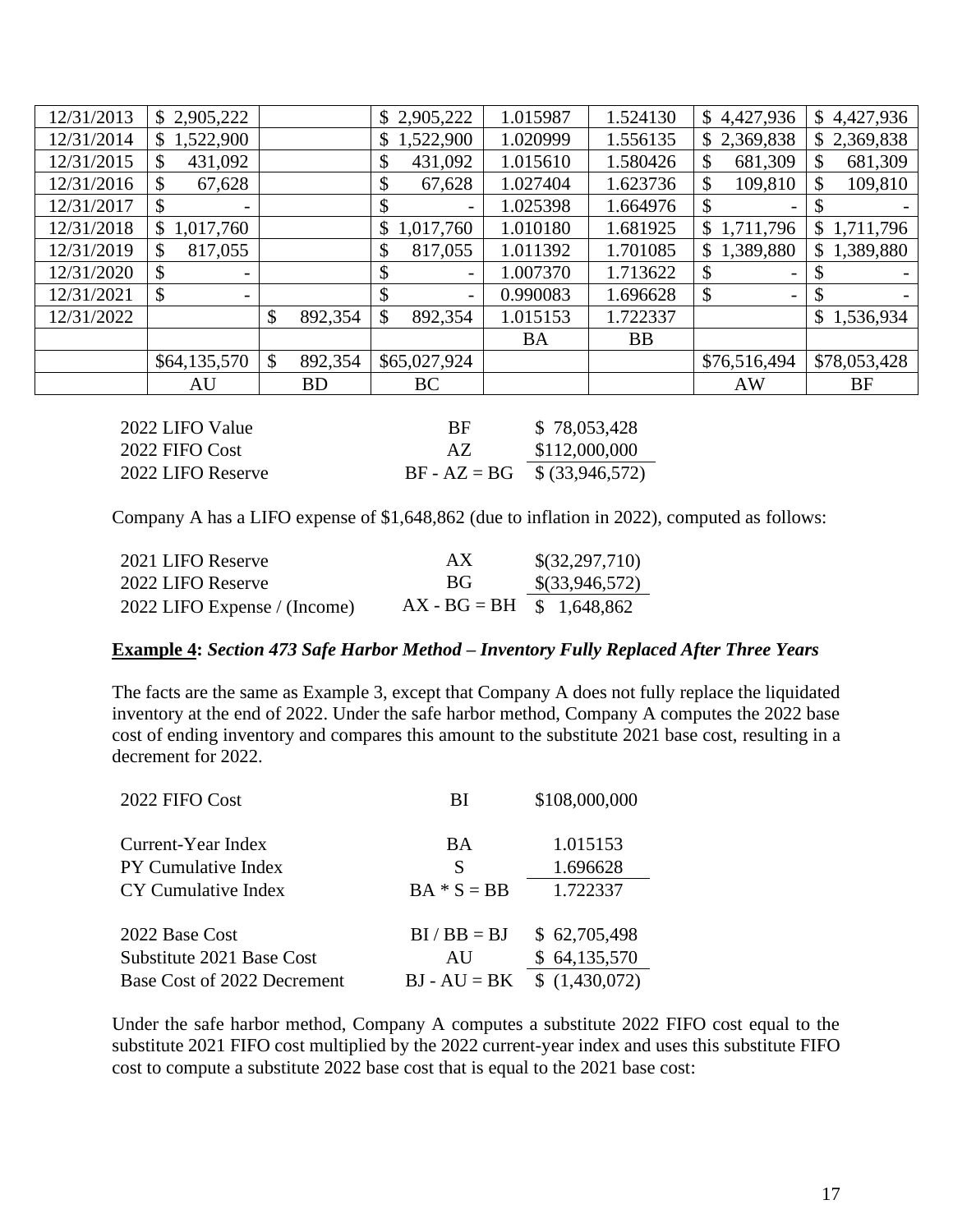| 12/31/2013 | \$2,905,222                    |               | \$2,905,222     | 1.015987  | 1.524130  | \$4,427,936                               | 4,427,936<br>$\mathbb{S}$ |
|------------|--------------------------------|---------------|-----------------|-----------|-----------|-------------------------------------------|---------------------------|
| 12/31/2014 | \$1,522,900                    |               | \$<br>1,522,900 | 1.020999  | 1.556135  | \$2,369,838                               | \$2,369,838               |
| 12/31/2015 | 431,092<br>\$                  |               | \$<br>431,092   | 1.015610  | 1.580426  | 681,309<br>\$                             | 681,309<br>\$             |
| 12/31/2016 | \$<br>67,628                   |               | \$<br>67,628    | 1.027404  | 1.623736  | \$<br>109,810                             | \$<br>109,810             |
| 12/31/2017 | \$<br>-                        |               | \$              | 1.025398  | 1.664976  |                                           | S                         |
| 12/31/2018 | 1,017,760<br>S.                |               | \$<br>1,017,760 | 1.010180  | 1.681925  | \$1,711,796                               | 1,711,796<br>\$           |
| 12/31/2019 | 817,055<br>\$                  |               | \$<br>817,055   | 1.011392  | 1.701085  | 1,389,880<br>\$                           | 1,389,880<br>\$           |
| 12/31/2020 | \$<br>$\overline{\phantom{a}}$ |               | \$              | 1.007370  | 1.713622  | \$<br>$\qquad \qquad =$                   | \$                        |
| 12/31/2021 | \$<br>-                        |               | \$              | 0.990083  | 1.696628  | $\mathcal{S}$<br>$\overline{\phantom{0}}$ | \$                        |
| 12/31/2022 |                                | \$<br>892,354 | \$<br>892,354   | 1.015153  | 1.722337  |                                           | $\mathbb{S}$<br>1,536,934 |
|            |                                |               |                 | <b>BA</b> | <b>BB</b> |                                           |                           |
|            | \$64,135,570                   | \$<br>892,354 | \$65,027,924    |           |           | \$76,516,494                              | \$78,053,428              |
|            | AU                             | <b>BD</b>     | <b>BC</b>       |           |           | <b>AW</b>                                 | BF                        |
|            |                                |               |                 |           |           |                                           |                           |

| 2022 LIFO Value   | BF                             | \$78,053,428  |
|-------------------|--------------------------------|---------------|
| 2022 FIFO Cost    | AZ.                            | \$112,000,000 |
| 2022 LIFO Reserve | $BF - AZ = BG$ \$ (33,946,572) |               |

Company A has a LIFO expense of \$1,648,862 (due to inflation in 2022), computed as follows:

| 2021 LIFO Reserve            | AX                          | \$(32,297,710)   |
|------------------------------|-----------------------------|------------------|
| 2022 LIFO Reserve            | BG.                         | $\$(33,946,572)$ |
| 2022 LIFO Expense / (Income) | $AX - BG = BH$ \$ 1,648,862 |                  |

### **Example 4:** *Section 473 Safe Harbor Method – Inventory Fully Replaced After Three Years*

The facts are the same as Example 3, except that Company A does not fully replace the liquidated inventory at the end of 2022. Under the safe harbor method, Company A computes the 2022 base cost of ending inventory and compares this amount to the substitute 2021 base cost, resulting in a decrement for 2022.

| 2022 FIFO Cost              | BI             | \$108,000,000 |
|-----------------------------|----------------|---------------|
| Current-Year Index          | BA             | 1.015153      |
| <b>PY Cumulative Index</b>  | S              | 1.696628      |
| CY Cumulative Index         | $BA * S = BB$  | 1.722337      |
| 2022 Base Cost              | $BI / BB = BJ$ | \$62,705,498  |
| Substitute 2021 Base Cost   | AU             | \$64,135,570  |
| Base Cost of 2022 Decrement | $BJ - AU = BK$ | \$(1,430,072) |

Under the safe harbor method, Company A computes a substitute 2022 FIFO cost equal to the substitute 2021 FIFO cost multiplied by the 2022 current-year index and uses this substitute FIFO cost to compute a substitute 2022 base cost that is equal to the 2021 base cost: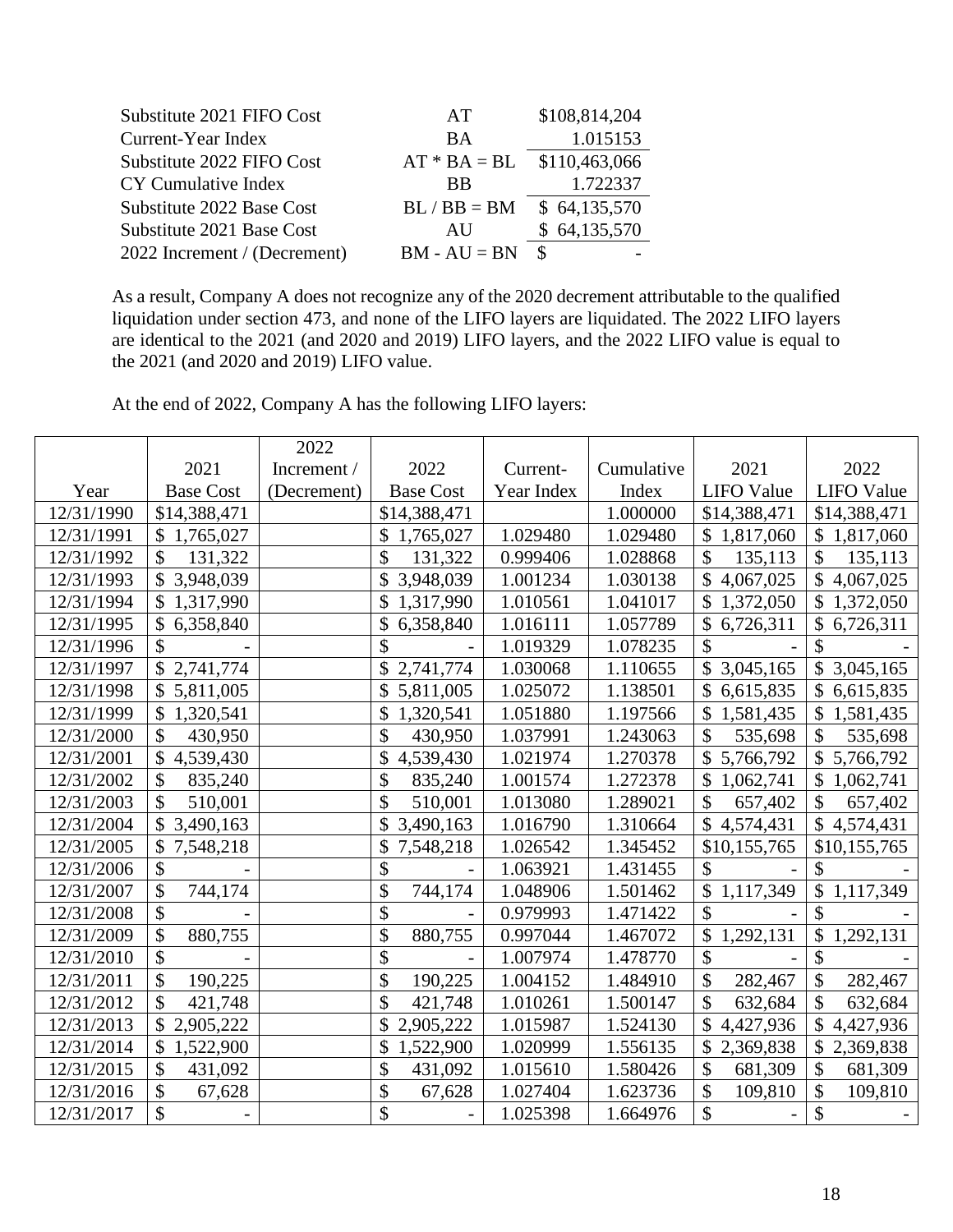| Substitute 2021 FIFO Cost    | AT                           | \$108,814,204 |
|------------------------------|------------------------------|---------------|
| Current-Year Index           | <b>BA</b>                    | 1.015153      |
| Substitute 2022 FIFO Cost    | $AT * BA = BL$ \$110,463,066 |               |
| CY Cumulative Index          | <b>BB</b>                    | 1.722337      |
| Substitute 2022 Base Cost    | $BL / BB = BM$ \$ 64,135,570 |               |
| Substitute 2021 Base Cost    | AU                           | \$64,135,570  |
| 2022 Increment / (Decrement) | $BM - AU = BN$               | $\mathcal{S}$ |

As a result, Company A does not recognize any of the 2020 decrement attributable to the qualified liquidation under section 473, and none of the LIFO layers are liquidated. The 2022 LIFO layers are identical to the 2021 (and 2020 and 2019) LIFO layers, and the 2022 LIFO value is equal to the 2021 (and 2020 and 2019) LIFO value.

At the end of 2022, Company A has the following LIFO layers:

|            |                            | 2022        |                  |            |            |                            |                                        |
|------------|----------------------------|-------------|------------------|------------|------------|----------------------------|----------------------------------------|
|            | 2021                       | Increment / | 2022             | Current-   | Cumulative | 2021                       | 2022                                   |
| Year       | <b>Base Cost</b>           | (Decrement) | <b>Base Cost</b> | Year Index | Index      | <b>LIFO</b> Value          | <b>LIFO Value</b>                      |
| 12/31/1990 | \$14,388,471               |             | \$14,388,471     |            | 1.000000   | \$14,388,471               | \$14,388,471                           |
| 12/31/1991 | \$1,765,027                |             | 1,765,027        | 1.029480   | 1.029480   | \$1,817,060                | \$1,817,060                            |
| 12/31/1992 | \$<br>131,322              |             | \$<br>131,322    | 0.999406   | 1.028868   | $\mathcal{S}$<br>135,113   | $\mathcal{S}$<br>135,113               |
| 12/31/1993 | \$3,948,039                |             | \$<br>3,948,039  | 1.001234   | 1.030138   | $\mathcal{S}$<br>4,067,025 | $\mathsf{\$}$<br>4,067,025             |
| 12/31/1994 | \$1,317,990                |             | \$<br>1,317,990  | 1.010561   | 1.041017   | $\mathcal{S}$<br>1,372,050 | $\mathbb{S}$<br>1,372,050              |
| 12/31/1995 | \$6,358,840                |             | \$<br>6,358,840  | 1.016111   | 1.057789   | \$6,726,311                | $\mathbb{S}$<br>6,726,311              |
| 12/31/1996 | \$                         |             | \$               | 1.019329   | 1.078235   | $\mathcal{S}$              | \$                                     |
| 12/31/1997 | \$2,741,774                |             | \$<br>2,741,774  | 1.030068   | 1.110655   | \$3,045,165                | $\mathbb{S}$<br>3,045,165              |
| 12/31/1998 | \$5,811,005                |             | \$<br>5,811,005  | 1.025072   | 1.138501   | \$6,615,835                | \$6,615,835                            |
| 12/31/1999 | \$<br>1,320,541            |             | \$<br>1,320,541  | 1.051880   | 1.197566   | \$<br>1,581,435            | $\mathbb{S}$<br>1,581,435              |
| 12/31/2000 | $\mathcal{S}$<br>430,950   |             | \$<br>430,950    | 1.037991   | 1.243063   | \$<br>535,698              | \$<br>535,698                          |
| 12/31/2001 | $\mathcal{S}$<br>4,539,430 |             | \$<br>4,539,430  | 1.021974   | 1.270378   | \$5,766,792                | \$5,766,792                            |
| 12/31/2002 | \$<br>835,240              |             | \$<br>835,240    | 1.001574   | 1.272378   | \$1,062,741                | $\mathcal{S}$<br>1,062,741             |
| 12/31/2003 | \$<br>510,001              |             | \$<br>510,001    | 1.013080   | 1.289021   | $\mathcal{S}$<br>657,402   | \$<br>657,402                          |
| 12/31/2004 | \$3,490,163                |             | \$<br>3,490,163  | 1.016790   | 1.310664   | \$4,574,431                | \$4,574,431                            |
| 12/31/2005 | $\mathcal{S}$<br>7,548,218 |             | \$<br>7,548,218  | 1.026542   | 1.345452   | \$10,155,765               | \$10,155,765                           |
| 12/31/2006 | \$                         |             | \$               | 1.063921   | 1.431455   | $\mathcal{S}$              | $\mathcal{S}$                          |
| 12/31/2007 | \$<br>744,174              |             | \$<br>744,174    | 1.048906   | 1.501462   | \$1,117,349                | $\mathcal{S}$<br>1,117,349             |
| 12/31/2008 | \$                         |             | \$               | 0.979993   | 1.471422   | $\mathcal{S}$              | \$                                     |
| 12/31/2009 | \$<br>880,755              |             | \$<br>880,755    | 0.997044   | 1.467072   | \$<br>1,292,131            | $\boldsymbol{\mathsf{S}}$<br>1,292,131 |
| 12/31/2010 | \$                         |             | \$               | 1.007974   | 1.478770   | \$                         | \$                                     |
| 12/31/2011 | \$<br>190,225              |             | \$<br>190,225    | 1.004152   | 1.484910   | \$<br>282,467              | \$<br>282,467                          |
| 12/31/2012 | \$<br>421,748              |             | \$<br>421,748    | 1.010261   | 1.500147   | $\mathcal{S}$<br>632,684   | \$<br>632,684                          |
| 12/31/2013 | \$2,905,222                |             | \$<br>2,905,222  | 1.015987   | 1.524130   | $\mathbb{S}$<br>4,427,936  | \$<br>4,427,936                        |
| 12/31/2014 | \$<br>1,522,900            |             | \$<br>1,522,900  | 1.020999   | 1.556135   | \$<br>2,369,838            | \$<br>2,369,838                        |
| 12/31/2015 | \$<br>431,092              |             | \$<br>431,092    | 1.015610   | 1.580426   | \$<br>681,309              | \$<br>681,309                          |
| 12/31/2016 | \$<br>67,628               |             | \$<br>67,628     | 1.027404   | 1.623736   | \$<br>109,810              | \$<br>109,810                          |
| 12/31/2017 | \$                         |             | \$               | 1.025398   | 1.664976   | \$                         | \$                                     |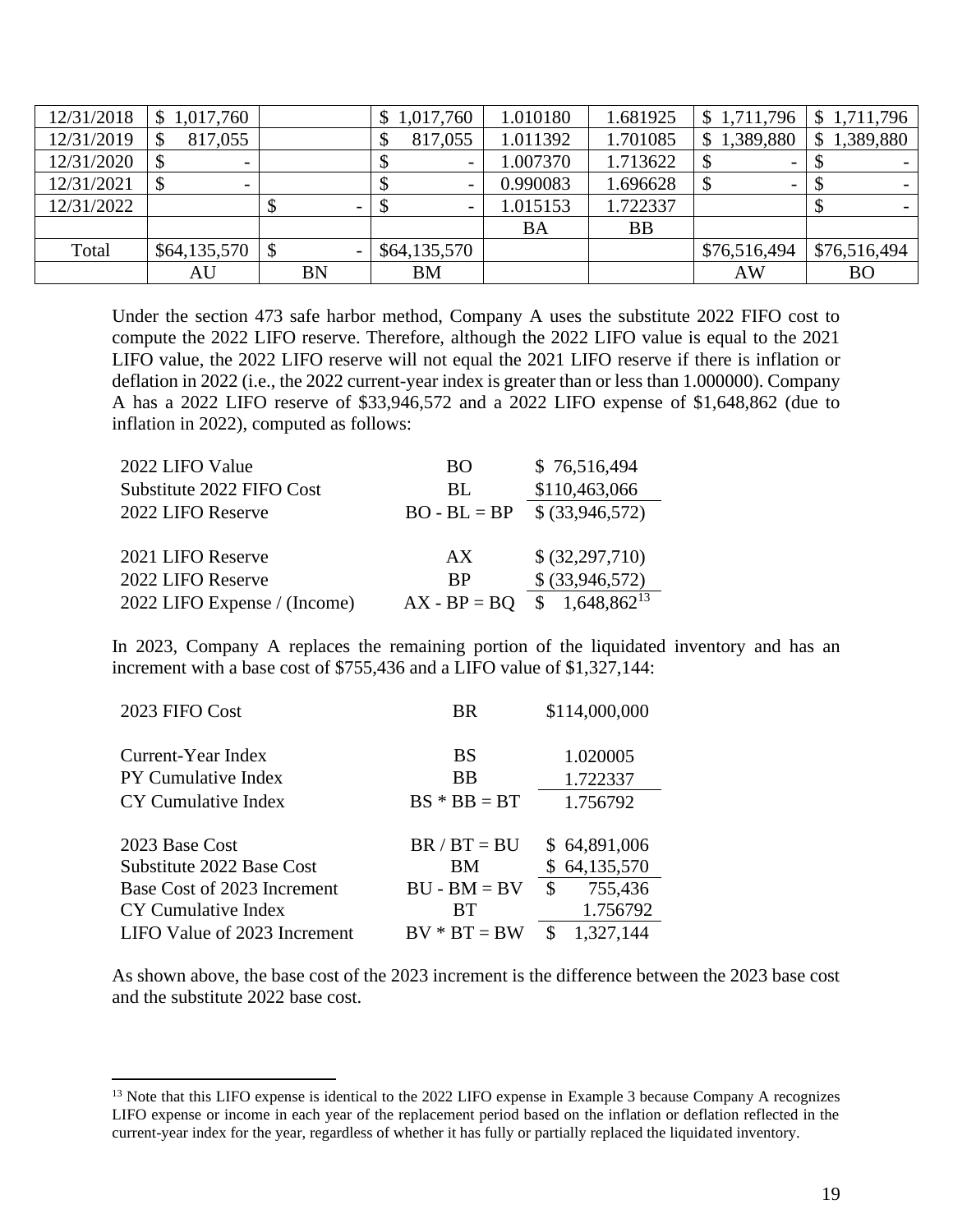| 12/31/2018 | 1,017,760                |           | \$1,017,760              | 1.010180  | 1.681925  | \$1,711,796                 | \$1,711,796     |
|------------|--------------------------|-----------|--------------------------|-----------|-----------|-----------------------------|-----------------|
| 12/31/2019 | 817,055                  |           | 817,055                  | 1.011392  | 1.701085  | 1,389,880<br>$\mathbb{S}^-$ | 1,389,880<br>\$ |
| 12/31/2020 |                          |           | $\overline{\phantom{0}}$ | 1.007370  | 1.713622  |                             |                 |
| 12/31/2021 | $\overline{\phantom{0}}$ |           | -                        | 0.990083  | 1.696628  | $\overline{\phantom{0}}$    |                 |
| 12/31/2022 |                          | Φ         | $\overline{\phantom{0}}$ | 1.015153  | 1.722337  |                             |                 |
|            |                          |           |                          | <b>BA</b> | <b>BB</b> |                             |                 |
| Total      | \$64,135,570             | -S        | \$64,135,570             |           |           | \$76,516,494                | \$76,516,494    |
|            | AU                       | <b>BN</b> | <b>BM</b>                |           |           | AW                          | <b>BO</b>       |

Under the section 473 safe harbor method, Company A uses the substitute 2022 FIFO cost to compute the 2022 LIFO reserve. Therefore, although the 2022 LIFO value is equal to the 2021 LIFO value, the 2022 LIFO reserve will not equal the 2021 LIFO reserve if there is inflation or deflation in 2022 (i.e., the 2022 current-year index is greater than or less than 1.000000). Company A has a 2022 LIFO reserve of \$33,946,572 and a 2022 LIFO expense of \$1,648,862 (due to inflation in 2022), computed as follows:

| 2022 LIFO Value              | BO             | \$76,516,494     |
|------------------------------|----------------|------------------|
| Substitute 2022 FIFO Cost    | BL.            | \$110,463,066    |
| 2022 LIFO Reserve            | $BO - BL = BP$ | \$ (33,946,572)  |
|                              |                |                  |
| 2021 LIFO Reserve            | AX             | \$ (32,297,710)  |
| 2022 LIFO Reserve            | <b>BP</b>      | \$ (33,946,572)  |
| 2022 LIFO Expense / (Income) | $AX - BP = BO$ | $1,648,862^{13}$ |

In 2023, Company A replaces the remaining portion of the liquidated inventory and has an increment with a base cost of \$755,436 and a LIFO value of \$1,327,144:

| 2023 FIFO Cost               | <b>BR</b>      | \$114,000,000  |
|------------------------------|----------------|----------------|
| Current-Year Index           | BS             | 1.020005       |
| PY Cumulative Index          | <b>BB</b>      | 1.722337       |
| CY Cumulative Index          | $BS * BB = BT$ | 1.756792       |
| 2023 Base Cost               | $BR / BT = BU$ | \$64,891,006   |
| Substitute 2022 Base Cost    | ΒM             | \$64,135,570   |
| Base Cost of 2023 Increment  | $BU - BM = BV$ | 755,436<br>\$  |
| CY Cumulative Index          | <b>BT</b>      | 1.756792       |
| LIFO Value of 2023 Increment | $BV * BT = BW$ | 1,327,144<br>S |

As shown above, the base cost of the 2023 increment is the difference between the 2023 base cost and the substitute 2022 base cost.

<sup>&</sup>lt;sup>13</sup> Note that this LIFO expense is identical to the 2022 LIFO expense in Example 3 because Company A recognizes LIFO expense or income in each year of the replacement period based on the inflation or deflation reflected in the current-year index for the year, regardless of whether it has fully or partially replaced the liquidated inventory.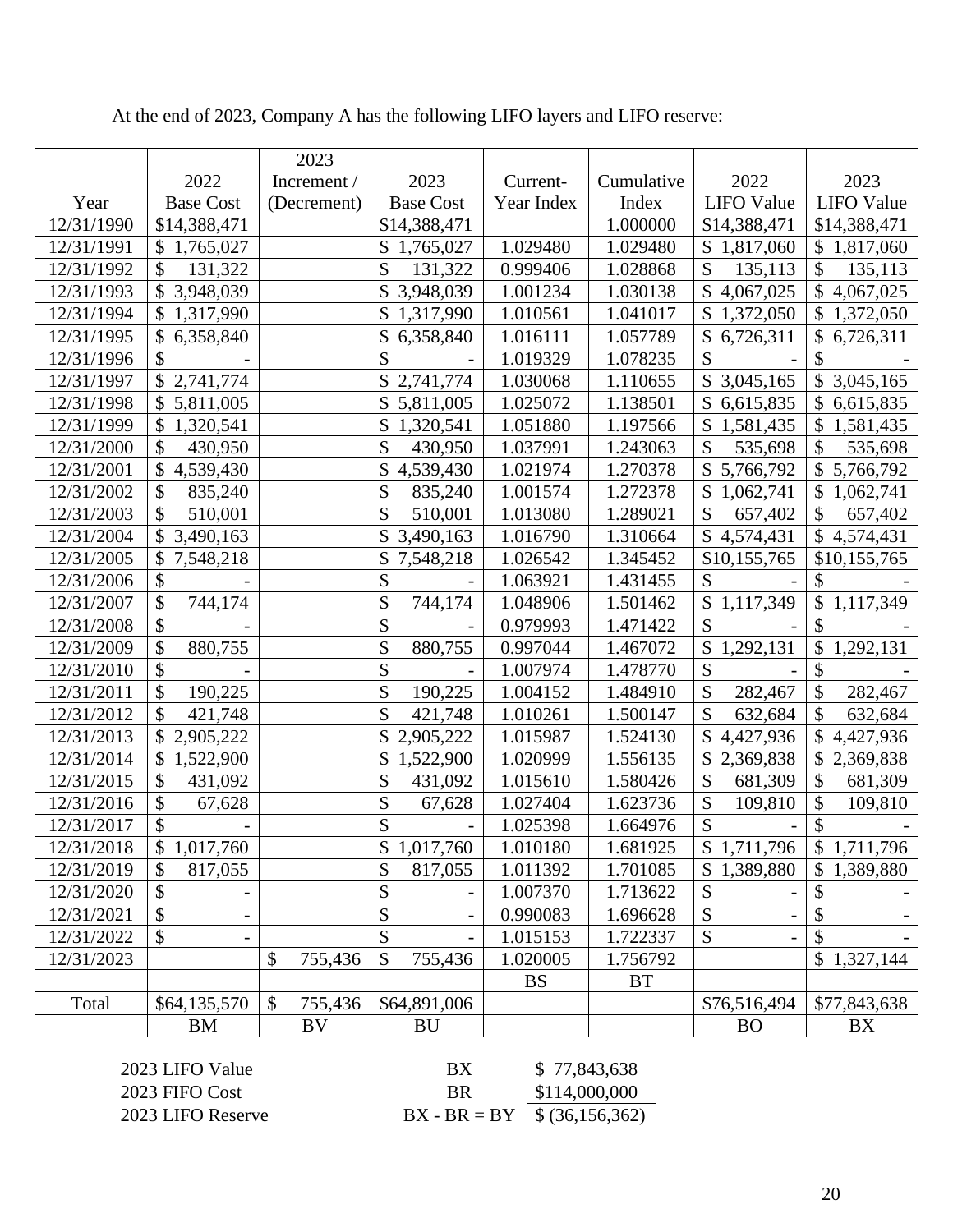|            |                                        | 2023          |                  |            |            |                            |                             |
|------------|----------------------------------------|---------------|------------------|------------|------------|----------------------------|-----------------------------|
|            | 2022                                   | Increment /   | 2023             | Current-   | Cumulative | 2022                       | 2023                        |
| Year       | <b>Base Cost</b>                       | (Decrement)   | <b>Base Cost</b> | Year Index | Index      | <b>LIFO</b> Value          | <b>LIFO</b> Value           |
| 12/31/1990 | \$14,388,471                           |               | \$14,388,471     |            | 1.000000   | \$14,388,471               | \$14,388,471                |
| 12/31/1991 | \$1,765,027                            |               | \$<br>1,765,027  | 1.029480   | 1.029480   | \$1,817,060                | \$1,817,060                 |
| 12/31/1992 | \$<br>131,322                          |               | \$<br>131,322    | 0.999406   | 1.028868   | \$<br>135,113              | \$<br>135,113               |
| 12/31/1993 | \$<br>3,948,039                        |               | \$<br>3,948,039  | 1.001234   | 1.030138   | \$<br>4,067,025            | $\mathcal{S}$<br>4,067,025  |
| 12/31/1994 | $\mathcal{S}$<br>1,317,990             |               | \$<br>1,317,990  | 1.010561   | 1.041017   | $\mathcal{S}$<br>1,372,050 | \$1,372,050                 |
| 12/31/1995 | $\boldsymbol{\mathsf{S}}$<br>6,358,840 |               | \$<br>6,358,840  | 1.016111   | 1.057789   | \$6,726,311                | \$6,726,311                 |
| 12/31/1996 | \$                                     |               | \$               | 1.019329   | 1.078235   | \$                         | \$                          |
| 12/31/1997 | \$2,741,774                            |               | 2,741,774        | 1.030068   | 1.110655   | \$3,045,165                | \$3,045,165                 |
| 12/31/1998 | \$<br>5,811,005                        |               | 5,811,005        | 1.025072   | 1.138501   | \$<br>6,615,835            | \$6,615,835                 |
| 12/31/1999 | $\mathcal{S}$<br>1,320,541             |               | \$<br>1,320,541  | 1.051880   | 1.197566   | \$<br>1,581,435            | \$1,581,435                 |
| 12/31/2000 | $\boldsymbol{\mathsf{S}}$<br>430,950   |               | \$<br>430,950    | 1.037991   | 1.243063   | \$<br>535,698              | \$<br>535,698               |
| 12/31/2001 | \$<br>4,539,430                        |               | \$<br>4,539,430  | 1.021974   | 1.270378   | \$5,766,792                | \$5,766,792                 |
| 12/31/2002 | \$<br>835,240                          |               | \$<br>835,240    | 1.001574   | 1.272378   | \$1,062,741                | \$1,062,741                 |
| 12/31/2003 | \$<br>510,001                          |               | \$<br>510,001    | 1.013080   | 1.289021   | \$<br>657,402              | \$<br>657,402               |
| 12/31/2004 | \$<br>3,490,163                        |               | \$<br>3,490,163  | 1.016790   | 1.310664   | \$4,574,431                | \$4,574,431                 |
| 12/31/2005 | $\mathcal{S}$<br>7,548,218             |               | \$<br>7,548,218  | 1.026542   | 1.345452   | \$10,155,765               | \$10,155,765                |
| 12/31/2006 | \$                                     |               | \$               | 1.063921   | 1.431455   | \$                         | \$                          |
| 12/31/2007 | \$<br>744,174                          |               | \$<br>744,174    | 1.048906   | 1.501462   | \$1,117,349                | $\mathbb{S}$<br>1,117,349   |
| 12/31/2008 | \$                                     |               | \$               | 0.979993   | 1.471422   | \$                         | $\mathcal{S}$               |
| 12/31/2009 | \$<br>880,755                          |               | \$<br>880,755    | 0.997044   | 1.467072   | \$<br>1,292,131            | $\mathcal{S}$<br>1,292,131  |
| 12/31/2010 | $\boldsymbol{\mathsf{S}}$              |               | \$               | 1.007974   | 1.478770   | \$                         | \$                          |
| 12/31/2011 | \$<br>190,225                          |               | \$<br>190,225    | 1.004152   | 1.484910   | \$<br>282,467              | \$<br>282,467               |
| 12/31/2012 | $\boldsymbol{\mathsf{S}}$<br>421,748   |               | \$<br>421,748    | 1.010261   | 1.500147   | \$<br>632,684              | \$<br>632,684               |
| 12/31/2013 | $\mathcal{S}$<br>2,905,222             |               | \$<br>2,905,222  | 1.015987   | 1.524130   | \$4,427,936                | \$4,427,936                 |
| 12/31/2014 | \$<br>1,522,900                        |               | \$<br>1,522,900  | 1.020999   | 1.556135   | \$<br>2,369,838            | \$2,369,838                 |
| 12/31/2015 | $\boldsymbol{\mathsf{S}}$<br>431,092   |               | \$<br>431,092    | 1.015610   | 1.580426   | \$<br>681,309              | \$<br>681,309               |
| 12/31/2016 | $\boldsymbol{\mathsf{S}}$<br>67,628    |               | \$<br>67,628     | 1.027404   | 1.623736   | \$<br>109,810              | \$<br>109,810               |
| 12/31/2017 | \$                                     |               | \$               | 1.025398   | 1.664976   | \$                         | \$                          |
| 12/31/2018 | 1,017,760<br>\$                        |               | \$<br>1,017,760  | 1.010180   | 1.681925   | \$1,711,796                | \$1,711,796                 |
| 12/31/2019 | \$<br>817,055                          |               | \$<br>817,055    | 1.011392   | 1.701085   | 1,389,880<br>\$            | $\mathbb{S}^-$<br>1,389,880 |
| 12/31/2020 | \$                                     |               | \$               | 1.007370   | 1.713622   | \$                         | \$                          |
| 12/31/2021 | \$                                     |               | \$               | 0.990083   | 1.696628   | \$                         | \$                          |
| 12/31/2022 | \$                                     |               | \$               | 1.015153   | 1.722337   | \$                         | \$                          |
| 12/31/2023 |                                        | \$<br>755,436 | \$<br>755,436    | 1.020005   | 1.756792   |                            | \$1,327,144                 |
|            |                                        |               |                  | <b>BS</b>  | <b>BT</b>  |                            |                             |
| Total      | \$64,135,570                           | \$<br>755,436 | \$64,891,006     |            |            | \$76,516,494               | \$77,843,638                |
|            | BM                                     | <b>BV</b>     | <b>BU</b>        |            |            | <b>BO</b>                  | <b>BX</b>                   |

At the end of 2023, Company A has the following LIFO layers and LIFO reserve:

 $2023$  FIFO Cost

2023 LIFO Value BX \$ 77,843,638<br>2023 FIFO Cost BR \$114,000,000 2023 LIFO Reserve  $BX - BR = BY \overline{\$ (36,156,362)}$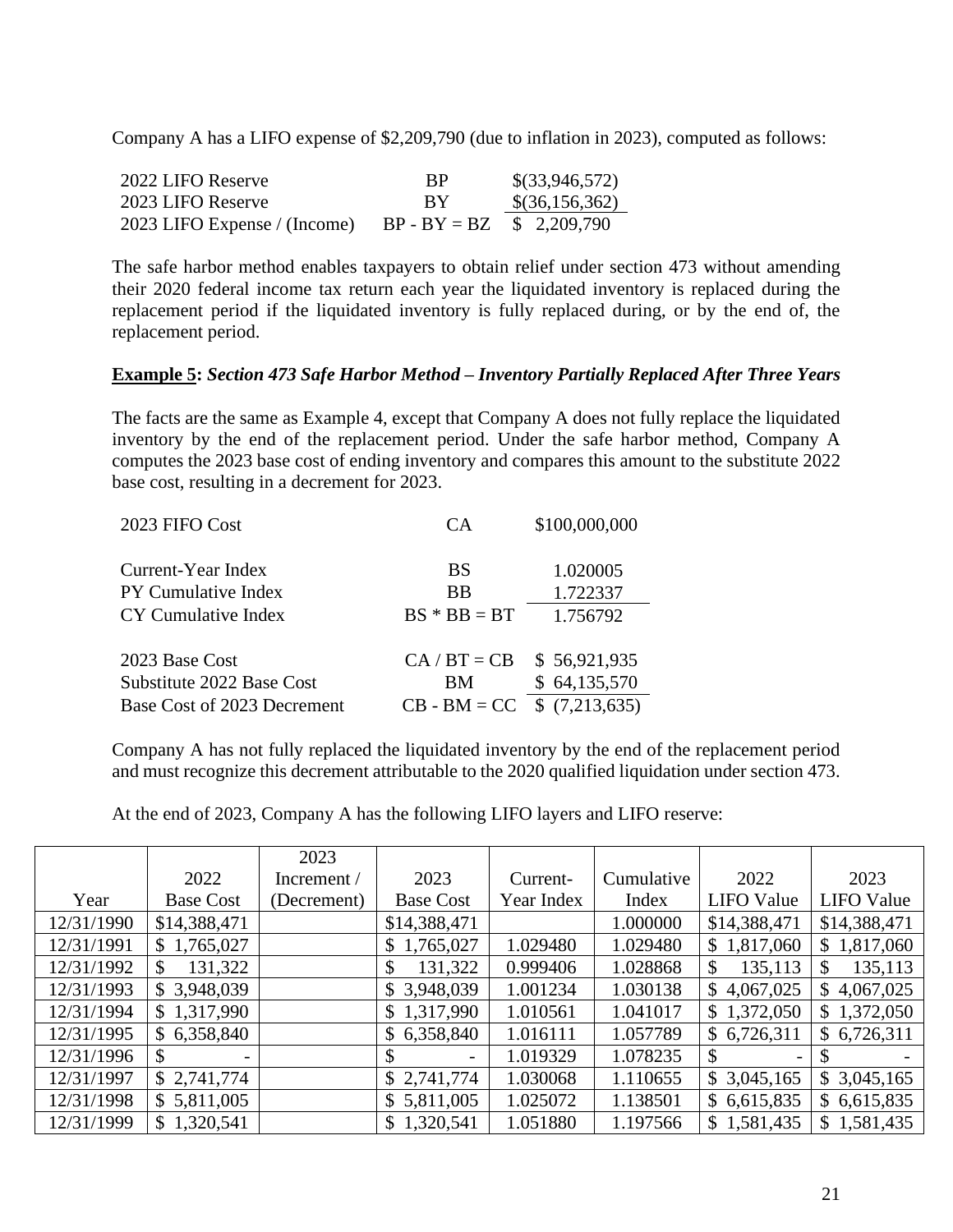Company A has a LIFO expense of \$2,209,790 (due to inflation in 2023), computed as follows:

| 2022 LIFO Reserve            | <b>BP</b>                   | $\$(33,946,572)$ |
|------------------------------|-----------------------------|------------------|
| 2023 LIFO Reserve            | -RY                         | $\$(36,156,362)$ |
| 2023 LIFO Expense / (Income) | $BP - BY = BZ$ \$ 2,209,790 |                  |

The safe harbor method enables taxpayers to obtain relief under section 473 without amending their 2020 federal income tax return each year the liquidated inventory is replaced during the replacement period if the liquidated inventory is fully replaced during, or by the end of, the replacement period.

#### **Example 5:** *Section 473 Safe Harbor Method – Inventory Partially Replaced After Three Years*

The facts are the same as Example 4, except that Company A does not fully replace the liquidated inventory by the end of the replacement period. Under the safe harbor method, Company A computes the 2023 base cost of ending inventory and compares this amount to the substitute 2022 base cost, resulting in a decrement for 2023.

| 2023 FIFO Cost              | СA             | \$100,000,000 |
|-----------------------------|----------------|---------------|
|                             |                |               |
| Current-Year Index          | <b>BS</b>      | 1.020005      |
| <b>PY Cumulative Index</b>  | <b>BB</b>      | 1.722337      |
| CY Cumulative Index         | $BS * BB = BT$ | 1.756792      |
|                             |                |               |
| 2023 Base Cost              | $CA/BT = CB$   | \$56,921,935  |
| Substitute 2022 Base Cost   | BМ             | \$64,135,570  |
| Base Cost of 2023 Decrement | $CB - BM = CC$ | \$(7,213,635) |

Company A has not fully replaced the liquidated inventory by the end of the replacement period and must recognize this decrement attributable to the 2020 qualified liquidation under section 473.

At the end of 2023, Company A has the following LIFO layers and LIFO reserve:

|            |                  | 2023          |                  |            |            |                           |                   |
|------------|------------------|---------------|------------------|------------|------------|---------------------------|-------------------|
|            | 2022             | Increment $/$ | 2023             | Current-   | Cumulative | 2022                      | 2023              |
| Year       | <b>Base Cost</b> | (Decrement)   | <b>Base Cost</b> | Year Index | Index      | <b>LIFO</b> Value         | <b>LIFO Value</b> |
| 12/31/1990 | \$14,388,471     |               | \$14,388,471     |            | 1.000000   | \$14,388,471              | \$14,388,471      |
| 12/31/1991 | \$1,765,027      |               | \$1,765,027      | 1.029480   | 1.029480   | \$1,817,060               | 1,817,060<br>\$   |
| 12/31/1992 | 131,322<br>\$.   |               | 131,322<br>\$    | 0.999406   | 1.028868   | \$<br>135,113             | 135,113           |
| 12/31/1993 | \$3,948,039      |               | \$3,948,039      | 1.001234   | 1.030138   | \$<br>4,067,025           | 4,067,025<br>\$   |
| 12/31/1994 | \$1,317,990      |               | \$1,317,990      | 1.010561   | 1.041017   | \$1,372,050               | \$1,372,050       |
| 12/31/1995 | \$6,358,840      |               | \$6,358,840      | 1.016111   | 1.057789   | \$6,726,311               | \$6,726,311       |
| 12/31/1996 | S.<br>-          |               | \$               | 1.019329   | 1.078235   | $\boldsymbol{\mathsf{S}}$ |                   |
| 12/31/1997 | \$2,741,774      |               | \$2,741,774      | 1.030068   | 1.110655   | \$3,045,165               | \$3,045,165       |
| 12/31/1998 | \$5,811,005      |               | \$5,811,005      | 1.025072   | 1.138501   | \$6,615,835               | \$6,615,835       |
| 12/31/1999 | \$1,320,541      |               | \$1,320,541      | 1.051880   | 1.197566   | \$1,581,435               | \$1,581,435       |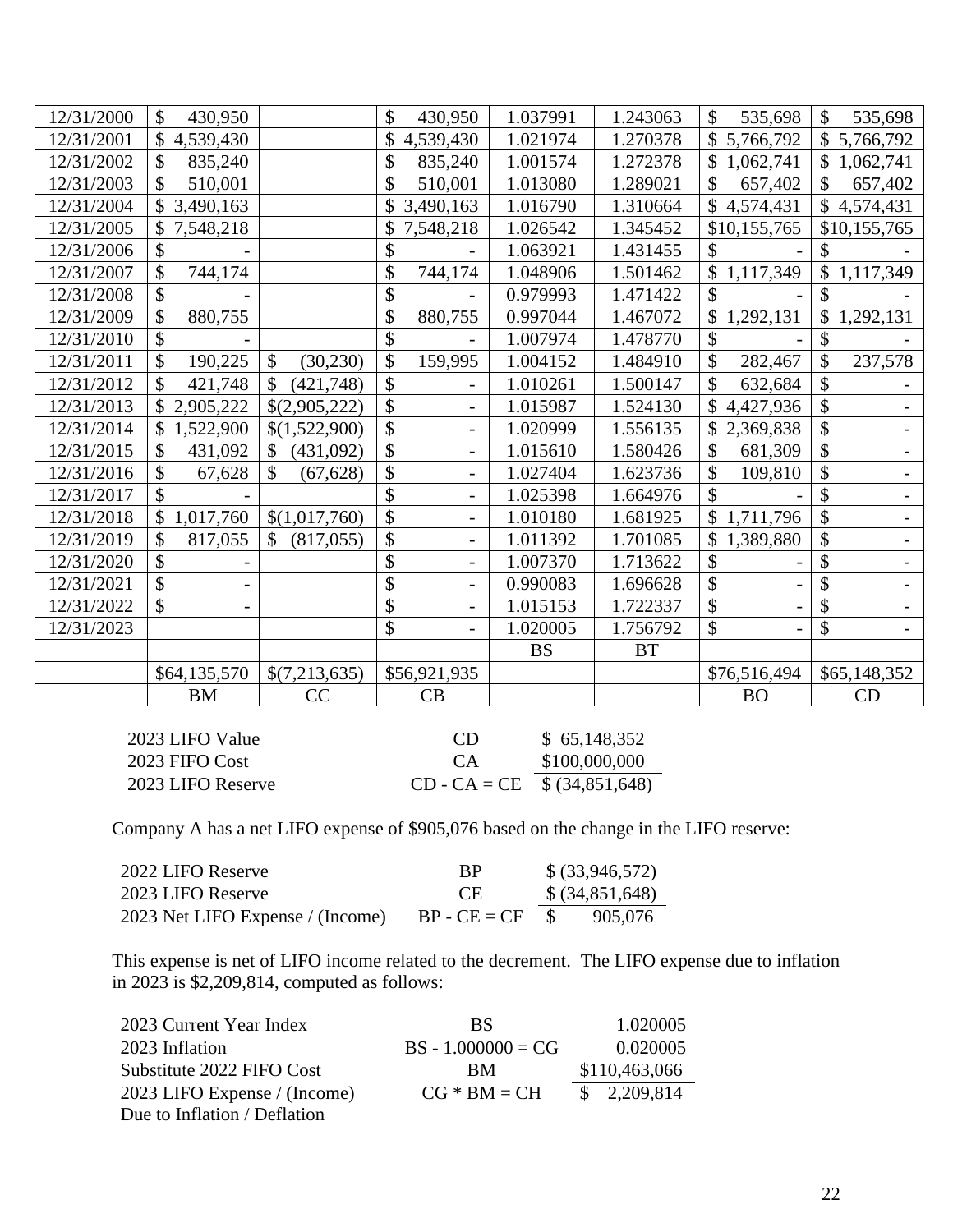| 12/31/2000 | \$<br>430,950   |                            | \$<br>430,950                      | 1.037991  | 1.243063  | \$<br>535,698   | \$<br>535,698                  |
|------------|-----------------|----------------------------|------------------------------------|-----------|-----------|-----------------|--------------------------------|
| 12/31/2001 | \$<br>4,539,430 |                            | 4,539,430                          | 1.021974  | 1.270378  | \$5,766,792     | \$5,766,792                    |
| 12/31/2002 | \$<br>835,240   |                            | \$<br>835,240                      | 1.001574  | 1.272378  | \$1,062,741     | \$<br>1,062,741                |
| 12/31/2003 | \$<br>510,001   |                            | \$<br>510,001                      | 1.013080  | 1.289021  | \$<br>657,402   | \$<br>657,402                  |
| 12/31/2004 | \$3,490,163     |                            | \$3,490,163                        | 1.016790  | 1.310664  | \$4,574,431     | $\mathbb{S}$<br>4,574,431      |
| 12/31/2005 | 7,548,218       |                            | 7,548,218                          | 1.026542  | 1.345452  | \$10,155,765    | \$10,155,765                   |
| 12/31/2006 | \$              |                            | \$                                 | 1.063921  | 1.431455  | \$              |                                |
| 12/31/2007 | \$<br>744,174   |                            | \$<br>744,174                      | 1.048906  | 1.501462  | \$1,117,349     | 1,117,349                      |
| 12/31/2008 | \$              |                            | \$                                 | 0.979993  | 1.471422  | \$              | \$                             |
| 12/31/2009 | \$<br>880,755   |                            | \$<br>880,755                      | 0.997044  | 1.467072  | 1,292,131<br>\$ | \$<br>1,292,131                |
| 12/31/2010 | \$              |                            | \$                                 | 1.007974  | 1.478770  | \$              | \$                             |
| 12/31/2011 | \$<br>190,225   | \$<br>(30, 230)            | \$<br>159,995                      | 1.004152  | 1.484910  | \$<br>282,467   | \$<br>237,578                  |
| 12/31/2012 | \$<br>421,748   | $\mathcal{S}$<br>(421,748) | \$                                 | 1.010261  | 1.500147  | \$<br>632,684   | \$                             |
| 12/31/2013 | 2,905,222       | \$(2,905,222)              | \$<br>$\overline{\phantom{a}}$     | 1.015987  | 1.524130  | 4,427,936       | \$                             |
| 12/31/2014 | 1,522,900       | \$(1,522,900)              | \$<br>$\qquad \qquad \blacksquare$ | 1.020999  | 1.556135  | 2,369,838<br>\$ | \$                             |
| 12/31/2015 | \$<br>431,092   | \$<br>(431,092)            | \$                                 | 1.015610  | 1.580426  | \$<br>681,309   | \$                             |
| 12/31/2016 | \$<br>67,628    | \$<br>(67, 628)            | \$                                 | 1.027404  | 1.623736  | 109,810         | \$                             |
| 12/31/2017 | \$              |                            | \$<br>$\overline{\phantom{a}}$     | 1.025398  | 1.664976  | \$              | \$<br>$\overline{\phantom{0}}$ |
| 12/31/2018 | 1,017,760       | \$(1,017,760)              | \$                                 | 1.010180  | 1.681925  | \$1,711,796     | \$                             |
| 12/31/2019 | \$<br>817,055   | $\mathcal{S}$<br>(817,055) | \$                                 | 1.011392  | 1.701085  | \$<br>1,389,880 | \$                             |
| 12/31/2020 | \$              |                            | \$                                 | 1.007370  | 1.713622  | \$              | \$                             |
| 12/31/2021 | \$              |                            | \$<br>$\overline{\phantom{a}}$     | 0.990083  | 1.696628  | \$              | \$<br>$\overline{\phantom{a}}$ |
| 12/31/2022 | \$              |                            | \$                                 | 1.015153  | 1.722337  |                 | \$                             |
| 12/31/2023 |                 |                            | \$                                 | 1.020005  | 1.756792  | \$              | \$                             |
|            |                 |                            |                                    | <b>BS</b> | <b>BT</b> |                 |                                |
|            | \$64,135,570    | \$(7,213,635)              | \$56,921,935                       |           |           | \$76,516,494    | \$65,148,352                   |
|            | <b>BM</b>       | CC                         | CB                                 |           |           | <b>BO</b>       | CD                             |

| 2023 LIFO Value   | CD.                                | \$65,148,352  |
|-------------------|------------------------------------|---------------|
| 2023 FIFO Cost    | <b>CA</b>                          | \$100,000,000 |
| 2023 LIFO Reserve | $CD - CA = CE \quad $(34,851,648)$ |               |

Company A has a net LIFO expense of \$905,076 based on the change in the LIFO reserve:

| 2022 LIFO Reserve                | <b>BP</b>      |               | $$$ (33,946,572) |
|----------------------------------|----------------|---------------|------------------|
| 2023 LIFO Reserve                | - CE           |               | $$$ (34,851,648) |
| 2023 Net LIFO Expense / (Income) | $BP - CE = CF$ | $\mathcal{S}$ | 905,076          |

This expense is net of LIFO income related to the decrement. The LIFO expense due to inflation in 2023 is \$2,209,814, computed as follows:

| 2023 Current Year Index      | BS.                  | 1.020005      |
|------------------------------|----------------------|---------------|
| 2023 Inflation               | $BS - 1.000000 = CG$ | 0.020005      |
| Substitute 2022 FIFO Cost    | BM.                  | \$110,463,066 |
| 2023 LIFO Expense / (Income) | $CG * BM = CH$       | \$2,209,814   |
| Due to Inflation / Deflation |                      |               |